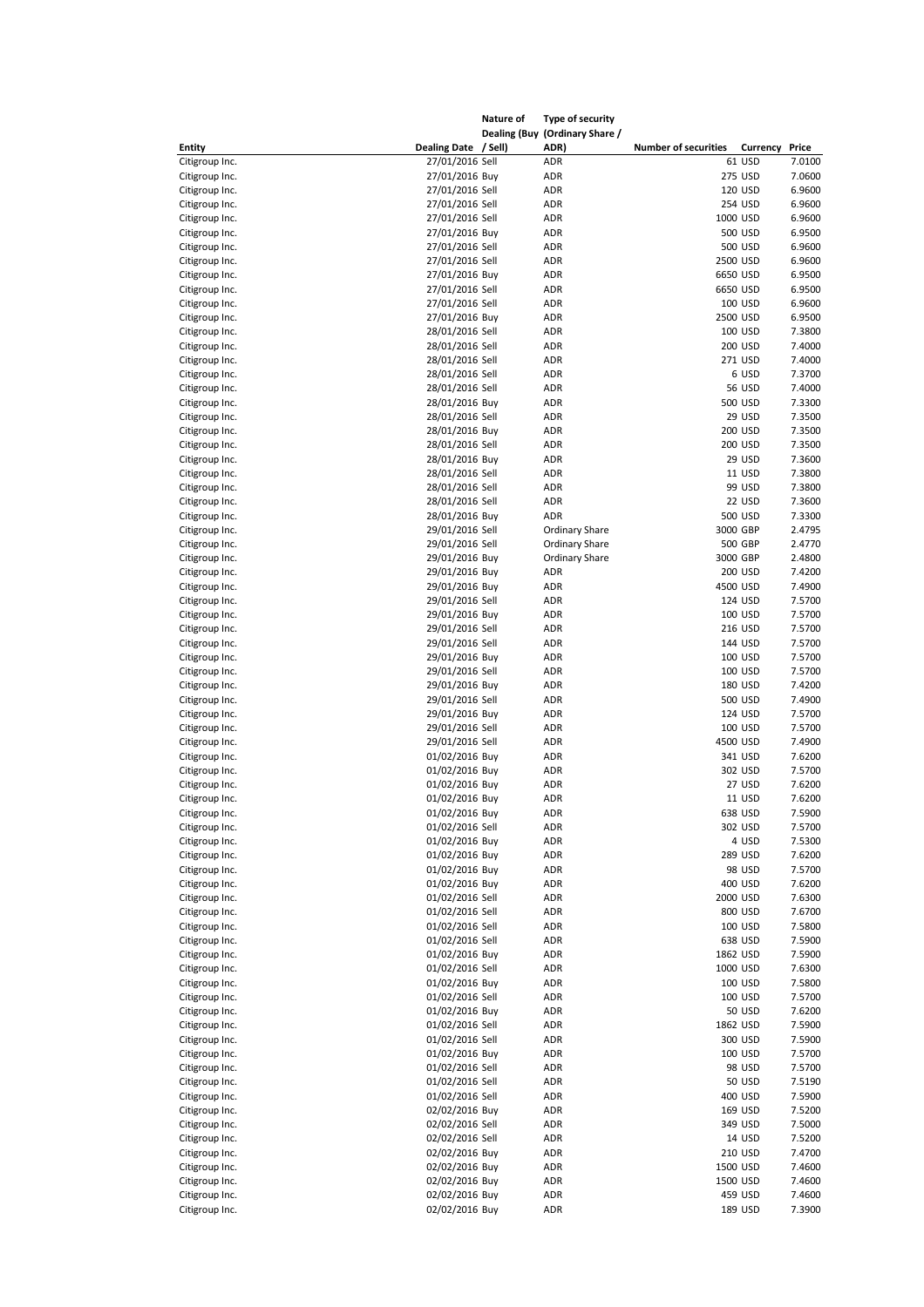|                                  |                                    | Nature of | Type of security                       |                             |                    |                  |
|----------------------------------|------------------------------------|-----------|----------------------------------------|-----------------------------|--------------------|------------------|
| <b>Entity</b>                    | Dealing Date / Sell)               |           | Dealing (Buy (Ordinary Share /<br>ADR) | <b>Number of securities</b> | Currency           | Price            |
| Citigroup Inc.                   | 27/01/2016 Sell                    |           | ADR                                    |                             | 61 USD             | 7.0100           |
| Citigroup Inc.                   | 27/01/2016 Buy                     |           | ADR                                    |                             | 275 USD            | 7.0600           |
| Citigroup Inc.                   | 27/01/2016 Sell                    |           | ADR                                    |                             | 120 USD            | 6.9600           |
| Citigroup Inc.                   | 27/01/2016 Sell                    |           | ADR                                    |                             | 254 USD            | 6.9600           |
| Citigroup Inc.                   | 27/01/2016 Sell                    |           | ADR                                    | 1000 USD                    |                    | 6.9600           |
| Citigroup Inc.                   | 27/01/2016 Buy                     |           | ADR                                    |                             | 500 USD            | 6.9500           |
| Citigroup Inc.                   | 27/01/2016 Sell                    |           | ADR                                    |                             | 500 USD            | 6.9600           |
| Citigroup Inc.                   | 27/01/2016 Sell                    |           | ADR                                    | 2500 USD                    |                    | 6.9600           |
| Citigroup Inc.                   | 27/01/2016 Buy                     |           | ADR                                    | 6650 USD                    |                    | 6.9500           |
| Citigroup Inc.                   | 27/01/2016 Sell                    |           | ADR                                    | 6650 USD                    |                    | 6.9500           |
| Citigroup Inc.                   | 27/01/2016 Sell                    |           | ADR                                    |                             | 100 USD            | 6.9600           |
| Citigroup Inc.                   | 27/01/2016 Buy                     |           | ADR                                    | 2500 USD                    |                    | 6.9500           |
| Citigroup Inc.<br>Citigroup Inc. | 28/01/2016 Sell<br>28/01/2016 Sell |           | ADR<br>ADR                             |                             | 100 USD<br>200 USD | 7.3800<br>7.4000 |
| Citigroup Inc.                   | 28/01/2016 Sell                    |           | ADR                                    |                             | 271 USD            | 7.4000           |
| Citigroup Inc.                   | 28/01/2016 Sell                    |           | ADR                                    |                             | 6 USD              | 7.3700           |
| Citigroup Inc.                   | 28/01/2016 Sell                    |           | ADR                                    |                             | <b>56 USD</b>      | 7.4000           |
| Citigroup Inc.                   | 28/01/2016 Buy                     |           | <b>ADR</b>                             |                             | 500 USD            | 7.3300           |
| Citigroup Inc.                   | 28/01/2016 Sell                    |           | ADR                                    |                             | 29 USD             | 7.3500           |
| Citigroup Inc.                   | 28/01/2016 Buy                     |           | ADR                                    |                             | 200 USD            | 7.3500           |
| Citigroup Inc.                   | 28/01/2016 Sell                    |           | ADR                                    |                             | 200 USD            | 7.3500           |
| Citigroup Inc.                   | 28/01/2016 Buy                     |           | ADR                                    |                             | 29 USD             | 7.3600           |
| Citigroup Inc.                   | 28/01/2016 Sell                    |           | ADR                                    |                             | <b>11 USD</b>      | 7.3800           |
| Citigroup Inc.                   | 28/01/2016 Sell                    |           | ADR                                    |                             | 99 USD             | 7.3800           |
| Citigroup Inc.                   | 28/01/2016 Sell                    |           | ADR                                    |                             | 22 USD             | 7.3600           |
| Citigroup Inc.                   | 28/01/2016 Buy                     |           | ADR                                    |                             | 500 USD            | 7.3300           |
| Citigroup Inc.                   | 29/01/2016 Sell                    |           | <b>Ordinary Share</b>                  | 3000 GBP                    |                    | 2.4795           |
| Citigroup Inc.                   | 29/01/2016 Sell                    |           | <b>Ordinary Share</b>                  |                             | 500 GBP            | 2.4770           |
| Citigroup Inc.                   | 29/01/2016 Buy                     |           | <b>Ordinary Share</b>                  | 3000 GBP                    |                    | 2.4800           |
| Citigroup Inc.                   | 29/01/2016 Buy                     |           | ADR                                    |                             | 200 USD            | 7.4200           |
| Citigroup Inc.                   | 29/01/2016 Buy                     |           | ADR                                    | 4500 USD                    |                    | 7.4900           |
| Citigroup Inc.                   | 29/01/2016 Sell                    |           | ADR                                    |                             | 124 USD            | 7.5700           |
| Citigroup Inc.                   | 29/01/2016 Buy<br>29/01/2016 Sell  |           | ADR<br>ADR                             |                             | 100 USD<br>216 USD | 7.5700<br>7.5700 |
| Citigroup Inc.<br>Citigroup Inc. | 29/01/2016 Sell                    |           | ADR                                    |                             | 144 USD            | 7.5700           |
| Citigroup Inc.                   | 29/01/2016 Buy                     |           | ADR                                    |                             | 100 USD            | 7.5700           |
| Citigroup Inc.                   | 29/01/2016 Sell                    |           | ADR                                    |                             | 100 USD            | 7.5700           |
| Citigroup Inc.                   | 29/01/2016 Buy                     |           | ADR                                    |                             | 180 USD            | 7.4200           |
| Citigroup Inc.                   | 29/01/2016 Sell                    |           | ADR                                    |                             | 500 USD            | 7.4900           |
| Citigroup Inc.                   | 29/01/2016 Buy                     |           | ADR                                    |                             | 124 USD            | 7.5700           |
| Citigroup Inc.                   | 29/01/2016 Sell                    |           | ADR                                    |                             | 100 USD            | 7.5700           |
| Citigroup Inc.                   | 29/01/2016 Sell                    |           | ADR                                    | 4500 USD                    |                    | 7.4900           |
| Citigroup Inc.                   | 01/02/2016 Buy                     |           | ADR                                    |                             | 341 USD            | 7.6200           |
| Citigroup Inc.                   | 01/02/2016 Buy                     |           | ADR                                    |                             | 302 USD            | 7.5700           |
| Citigroup Inc.                   | 01/02/2016 Buy                     |           | ADR                                    |                             | 27 USD             | 7.6200           |
| Citigroup Inc.                   | 01/02/2016 Buy                     |           | ADR                                    |                             | <b>11 USD</b>      | 7.6200           |
| Citigroup Inc.                   | 01/02/2016 Buy                     |           | ADR                                    |                             | 638 USD            | 7.5900           |
| Citigroup Inc.                   | 01/02/2016 Sell                    |           | ADR                                    |                             | 302 USD            | 7.5700           |
| Citigroup Inc.                   | 01/02/2016 Buy                     |           | ADR                                    |                             | 4 USD              | 7.5300           |
| Citigroup Inc.                   | 01/02/2016 Buy                     |           | ADR                                    |                             | 289 USD            | 7.6200           |
| Citigroup Inc.<br>Citigroup Inc. | 01/02/2016 Buy<br>01/02/2016 Buy   |           | ADR<br>ADR                             |                             | 98 USD<br>400 USD  | 7.5700<br>7.6200 |
| Citigroup Inc.                   | 01/02/2016 Sell                    |           | ADR                                    | 2000 USD                    |                    | 7.6300           |
| Citigroup Inc.                   | 01/02/2016 Sell                    |           | ADR                                    |                             | 800 USD            | 7.6700           |
| Citigroup Inc.                   | 01/02/2016 Sell                    |           | ADR                                    |                             | 100 USD            | 7.5800           |
| Citigroup Inc.                   | 01/02/2016 Sell                    |           | ADR                                    |                             | 638 USD            | 7.5900           |
| Citigroup Inc.                   | 01/02/2016 Buy                     |           | ADR                                    | 1862 USD                    |                    | 7.5900           |
| Citigroup Inc.                   | 01/02/2016 Sell                    |           | ADR                                    | 1000 USD                    |                    | 7.6300           |
| Citigroup Inc.                   | 01/02/2016 Buy                     |           | ADR                                    |                             | 100 USD            | 7.5800           |
| Citigroup Inc.                   | 01/02/2016 Sell                    |           | ADR                                    |                             | 100 USD            | 7.5700           |
| Citigroup Inc.                   | 01/02/2016 Buy                     |           | ADR                                    |                             | 50 USD             | 7.6200           |
| Citigroup Inc.                   | 01/02/2016 Sell                    |           | ADR                                    | 1862 USD                    |                    | 7.5900           |
| Citigroup Inc.                   | 01/02/2016 Sell                    |           | ADR                                    |                             | 300 USD            | 7.5900           |
| Citigroup Inc.                   | 01/02/2016 Buy                     |           | ADR                                    |                             | 100 USD            | 7.5700           |
| Citigroup Inc.                   | 01/02/2016 Sell                    |           | ADR                                    |                             | 98 USD             | 7.5700           |
| Citigroup Inc.                   | 01/02/2016 Sell                    |           | ADR                                    |                             | 50 USD             | 7.5190           |
| Citigroup Inc.                   | 01/02/2016 Sell                    |           | ADR                                    |                             | 400 USD            | 7.5900           |
| Citigroup Inc.                   | 02/02/2016 Buy                     |           | ADR                                    |                             | 169 USD            | 7.5200           |
| Citigroup Inc.                   | 02/02/2016 Sell                    |           | ADR<br>ADR                             |                             | 349 USD            | 7.5000           |
| Citigroup Inc.<br>Citigroup Inc. | 02/02/2016 Sell<br>02/02/2016 Buy  |           | ADR                                    |                             | 14 USD<br>210 USD  | 7.5200<br>7.4700 |
| Citigroup Inc.                   | 02/02/2016 Buy                     |           | ADR                                    | 1500 USD                    |                    | 7.4600           |
| Citigroup Inc.                   | 02/02/2016 Buy                     |           | ADR                                    | 1500 USD                    |                    | 7.4600           |
| Citigroup Inc.                   | 02/02/2016 Buy                     |           | ADR                                    |                             | 459 USD            | 7.4600           |
| Citigroup Inc.                   | 02/02/2016 Buy                     |           | ADR                                    |                             | 189 USD            | 7.3900           |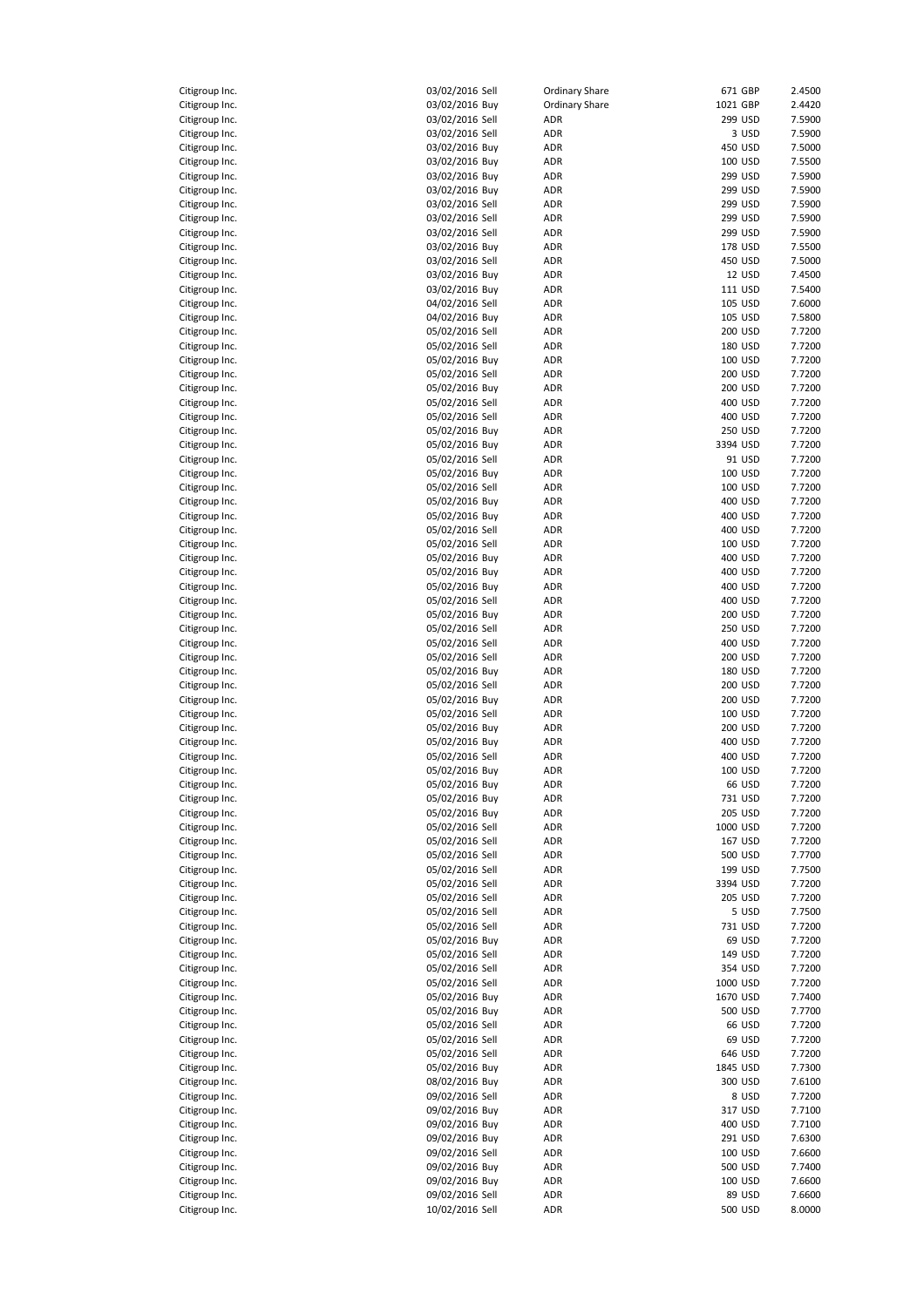| Citigroup Inc. | 03/02/2016 Sell | <b>Ordinary Share</b> | 671 GBP  | 2.4500 |
|----------------|-----------------|-----------------------|----------|--------|
| Citigroup Inc. | 03/02/2016 Buy  | <b>Ordinary Share</b> | 1021 GBP | 2.4420 |
| Citigroup Inc. | 03/02/2016 Sell | ADR                   | 299 USD  | 7.5900 |
| Citigroup Inc. | 03/02/2016 Sell | ADR                   | 3 USD    | 7.5900 |
| Citigroup Inc. | 03/02/2016 Buy  | ADR                   | 450 USD  | 7.5000 |
| Citigroup Inc. | 03/02/2016 Buy  | ADR                   | 100 USD  | 7.5500 |
| Citigroup Inc. | 03/02/2016 Buy  | ADR                   | 299 USD  | 7.5900 |
| Citigroup Inc. | 03/02/2016 Buy  | ADR                   | 299 USD  | 7.5900 |
| Citigroup Inc. | 03/02/2016 Sell | ADR                   | 299 USD  | 7.5900 |
| Citigroup Inc. | 03/02/2016 Sell | ADR                   | 299 USD  | 7.5900 |
| Citigroup Inc. | 03/02/2016 Sell | ADR                   | 299 USD  | 7.5900 |
| Citigroup Inc. | 03/02/2016 Buy  | ADR                   | 178 USD  | 7.5500 |
| Citigroup Inc. | 03/02/2016 Sell | ADR                   | 450 USD  | 7.5000 |
|                |                 |                       |          |        |
| Citigroup Inc. | 03/02/2016 Buy  | ADR                   | 12 USD   | 7.4500 |
| Citigroup Inc. | 03/02/2016 Buy  | ADR                   | 111 USD  | 7.5400 |
| Citigroup Inc. | 04/02/2016 Sell | ADR                   | 105 USD  | 7.6000 |
| Citigroup Inc. | 04/02/2016 Buy  | ADR                   | 105 USD  | 7.5800 |
| Citigroup Inc. | 05/02/2016 Sell | ADR                   | 200 USD  | 7.7200 |
| Citigroup Inc. | 05/02/2016 Sell | ADR                   | 180 USD  | 7.7200 |
| Citigroup Inc. | 05/02/2016 Buy  | ADR                   | 100 USD  | 7.7200 |
| Citigroup Inc. | 05/02/2016 Sell | ADR                   | 200 USD  | 7.7200 |
| Citigroup Inc. | 05/02/2016 Buy  | ADR                   | 200 USD  | 7.7200 |
| Citigroup Inc. | 05/02/2016 Sell | ADR                   | 400 USD  | 7.7200 |
| Citigroup Inc. | 05/02/2016 Sell | ADR                   | 400 USD  | 7.7200 |
| Citigroup Inc. | 05/02/2016 Buy  | ADR                   | 250 USD  | 7.7200 |
| Citigroup Inc. | 05/02/2016 Buy  | ADR                   | 3394 USD | 7.7200 |
|                | 05/02/2016 Sell | ADR                   | 91 USD   | 7.7200 |
| Citigroup Inc. |                 |                       |          |        |
| Citigroup Inc. | 05/02/2016 Buy  | ADR                   | 100 USD  | 7.7200 |
| Citigroup Inc. | 05/02/2016 Sell | ADR                   | 100 USD  | 7.7200 |
| Citigroup Inc. | 05/02/2016 Buy  | ADR                   | 400 USD  | 7.7200 |
| Citigroup Inc. | 05/02/2016 Buy  | ADR                   | 400 USD  | 7.7200 |
| Citigroup Inc. | 05/02/2016 Sell | ADR                   | 400 USD  | 7.7200 |
| Citigroup Inc. | 05/02/2016 Sell | ADR                   | 100 USD  | 7.7200 |
| Citigroup Inc. | 05/02/2016 Buy  | ADR                   | 400 USD  | 7.7200 |
| Citigroup Inc. | 05/02/2016 Buy  | ADR                   | 400 USD  | 7.7200 |
| Citigroup Inc. | 05/02/2016 Buy  | ADR                   | 400 USD  | 7.7200 |
| Citigroup Inc. | 05/02/2016 Sell | ADR                   | 400 USD  | 7.7200 |
| Citigroup Inc. | 05/02/2016 Buy  | ADR                   | 200 USD  | 7.7200 |
| Citigroup Inc. | 05/02/2016 Sell | ADR                   | 250 USD  | 7.7200 |
| Citigroup Inc. | 05/02/2016 Sell | ADR                   | 400 USD  | 7.7200 |
| Citigroup Inc. | 05/02/2016 Sell | ADR                   | 200 USD  | 7.7200 |
|                |                 |                       |          |        |
| Citigroup Inc. | 05/02/2016 Buy  | ADR                   | 180 USD  | 7.7200 |
| Citigroup Inc. | 05/02/2016 Sell | ADR                   | 200 USD  | 7.7200 |
| Citigroup Inc. | 05/02/2016 Buy  | ADR                   | 200 USD  | 7.7200 |
| Citigroup Inc. | 05/02/2016 Sell | ADR                   | 100 USD  | 7.7200 |
| Citigroup Inc. | 05/02/2016 Buy  | ADR                   | 200 USD  | 7.7200 |
| Citigroup Inc. | 05/02/2016 Buy  | ADR                   | 400 USD  | 7.7200 |
| Citigroup Inc. | 05/02/2016 Sell | ADR                   | 400 USD  | 7.7200 |
| Citigroup Inc. | 05/02/2016 Buy  | <b>ADR</b>            | 100 USD  | 7.7200 |
| Citigroup Inc. | 05/02/2016 Buy  | ADR                   | 66 USD   | 7.7200 |
| Citigroup Inc. | 05/02/2016 Buy  | ADR                   | 731 USD  | 7.7200 |
| Citigroup Inc. | 05/02/2016 Buy  | ADR                   | 205 USD  | 7.7200 |
| Citigroup Inc. | 05/02/2016 Sell | ADR                   | 1000 USD | 7.7200 |
| Citigroup Inc. | 05/02/2016 Sell | ADR                   | 167 USD  | 7.7200 |
| Citigroup Inc. | 05/02/2016 Sell | ADR                   | 500 USD  | 7.7700 |
| Citigroup Inc. | 05/02/2016 Sell | ADR                   | 199 USD  | 7.7500 |
| Citigroup Inc. | 05/02/2016 Sell | ADR                   | 3394 USD | 7.7200 |
| Citigroup Inc. | 05/02/2016 Sell | ADR                   | 205 USD  | 7.7200 |
|                |                 |                       |          |        |
| Citigroup Inc. | 05/02/2016 Sell | ADR                   | 5 USD    | 7.7500 |
| Citigroup Inc. | 05/02/2016 Sell | ADR                   | 731 USD  | 7.7200 |
| Citigroup Inc. | 05/02/2016 Buy  | ADR                   | 69 USD   | 7.7200 |
| Citigroup Inc. | 05/02/2016 Sell | ADR                   | 149 USD  | 7.7200 |
| Citigroup Inc. | 05/02/2016 Sell | ADR                   | 354 USD  | 7.7200 |
| Citigroup Inc. | 05/02/2016 Sell | ADR                   | 1000 USD | 7.7200 |
| Citigroup Inc. | 05/02/2016 Buy  | ADR                   | 1670 USD | 7.7400 |
| Citigroup Inc. | 05/02/2016 Buy  | ADR                   | 500 USD  | 7.7700 |
| Citigroup Inc. | 05/02/2016 Sell | ADR                   | 66 USD   | 7.7200 |
| Citigroup Inc. | 05/02/2016 Sell | ADR                   | 69 USD   | 7.7200 |
| Citigroup Inc. | 05/02/2016 Sell | ADR                   | 646 USD  | 7.7200 |
| Citigroup Inc. | 05/02/2016 Buy  | ADR                   | 1845 USD | 7.7300 |
| Citigroup Inc. | 08/02/2016 Buy  | ADR                   | 300 USD  | 7.6100 |
| Citigroup Inc. | 09/02/2016 Sell | ADR                   | 8 USD    | 7.7200 |
| Citigroup Inc. | 09/02/2016 Buy  | ADR                   | 317 USD  | 7.7100 |
| Citigroup Inc. | 09/02/2016 Buy  | ADR                   | 400 USD  | 7.7100 |
|                |                 |                       |          |        |
| Citigroup Inc. | 09/02/2016 Buy  | ADR                   | 291 USD  | 7.6300 |
| Citigroup Inc. | 09/02/2016 Sell | ADR                   | 100 USD  | 7.6600 |
| Citigroup Inc. | 09/02/2016 Buy  | ADR                   | 500 USD  | 7.7400 |
| Citigroup Inc. | 09/02/2016 Buy  | ADR                   | 100 USD  | 7.6600 |
| Citigroup Inc. | 09/02/2016 Sell | ADR                   | 89 USD   | 7.6600 |
| Citigroup Inc. | 10/02/2016 Sell | ADR                   | 500 USD  | 8.0000 |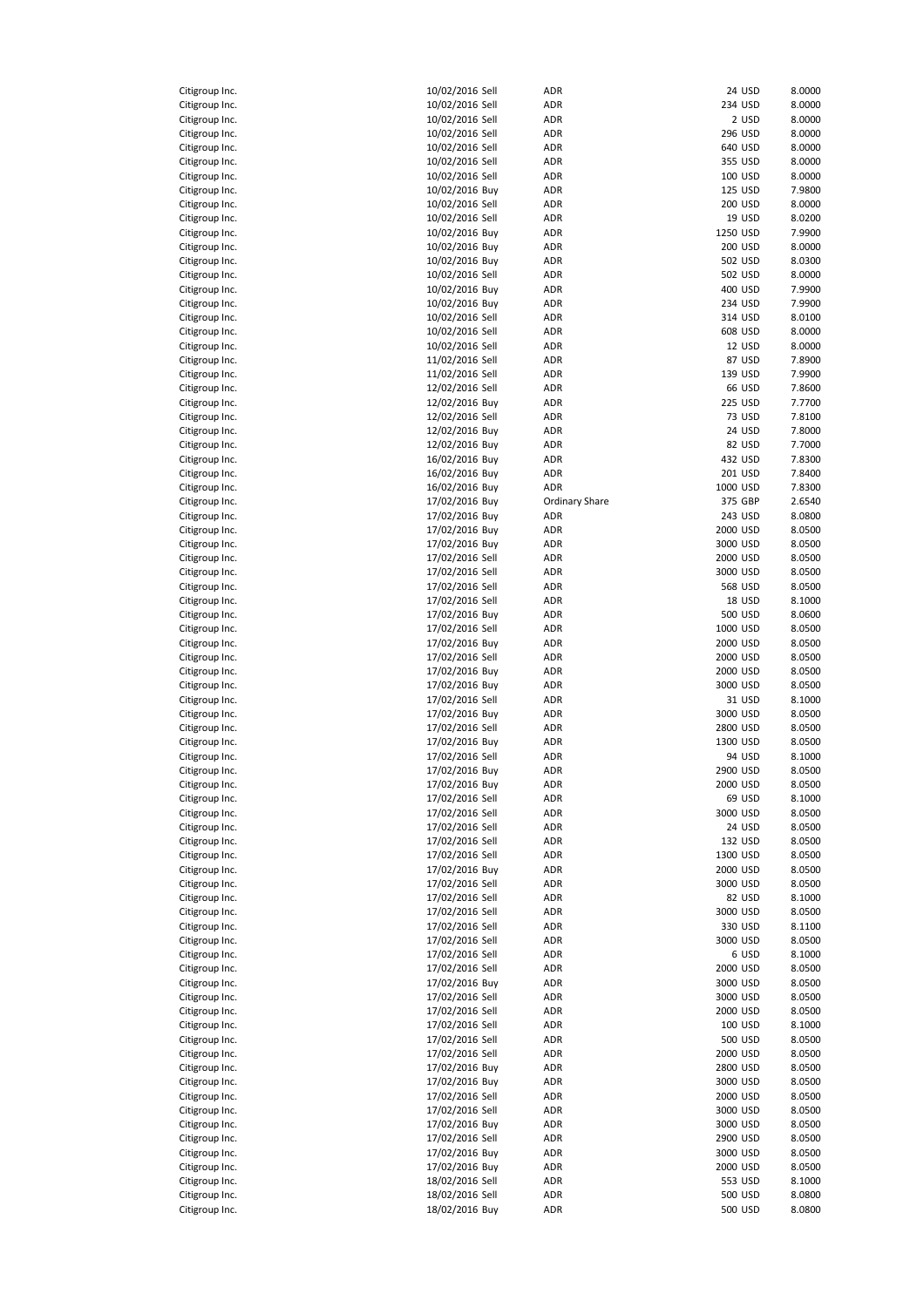| Citigroup Inc. | 10/02/2016 Sell | ADR                   | 24 USD         | 8.0000 |
|----------------|-----------------|-----------------------|----------------|--------|
| Citigroup Inc. | 10/02/2016 Sell | ADR                   | 234 USD        | 8.0000 |
| Citigroup Inc. | 10/02/2016 Sell | ADR                   | 2 USD          | 8.0000 |
|                |                 |                       |                |        |
| Citigroup Inc. | 10/02/2016 Sell | ADR                   | 296 USD        | 8.0000 |
| Citigroup Inc. | 10/02/2016 Sell | ADR                   | 640 USD        | 8.0000 |
| Citigroup Inc. | 10/02/2016 Sell | ADR                   | 355 USD        | 8.0000 |
| Citigroup Inc. | 10/02/2016 Sell | <b>ADR</b>            | 100 USD        | 8.0000 |
| Citigroup Inc. | 10/02/2016 Buy  | <b>ADR</b>            | 125 USD        | 7.9800 |
| Citigroup Inc. | 10/02/2016 Sell | ADR                   | 200 USD        | 8.0000 |
| Citigroup Inc. | 10/02/2016 Sell | ADR                   | 19 USD         | 8.0200 |
| Citigroup Inc. | 10/02/2016 Buy  | <b>ADR</b>            | 1250 USD       | 7.9900 |
| Citigroup Inc. | 10/02/2016 Buy  | ADR                   | 200 USD        | 8.0000 |
|                |                 |                       |                |        |
| Citigroup Inc. | 10/02/2016 Buy  | <b>ADR</b>            | 502 USD        | 8.0300 |
| Citigroup Inc. | 10/02/2016 Sell | <b>ADR</b>            | 502 USD        | 8.0000 |
| Citigroup Inc. | 10/02/2016 Buy  | <b>ADR</b>            | 400 USD        | 7.9900 |
| Citigroup Inc. | 10/02/2016 Buy  | <b>ADR</b>            | 234 USD        | 7.9900 |
| Citigroup Inc. | 10/02/2016 Sell | <b>ADR</b>            | 314 USD        | 8.0100 |
| Citigroup Inc. | 10/02/2016 Sell | ADR                   | 608 USD        | 8.0000 |
| Citigroup Inc. | 10/02/2016 Sell | <b>ADR</b>            | 12 USD         | 8.0000 |
| Citigroup Inc. | 11/02/2016 Sell | ADR                   | 87 USD         | 7.8900 |
| Citigroup Inc. | 11/02/2016 Sell | ADR                   | 139 USD        | 7.9900 |
| Citigroup Inc. | 12/02/2016 Sell | ADR                   | 66 USD         | 7.8600 |
|                | 12/02/2016 Buy  |                       | <b>225 USD</b> |        |
| Citigroup Inc. |                 | ADR                   |                | 7.7700 |
| Citigroup Inc. | 12/02/2016 Sell | ADR                   | 73 USD         | 7.8100 |
| Citigroup Inc. | 12/02/2016 Buy  | ADR                   | 24 USD         | 7.8000 |
| Citigroup Inc. | 12/02/2016 Buy  | ADR                   | 82 USD         | 7.7000 |
| Citigroup Inc. | 16/02/2016 Buy  | ADR                   | 432 USD        | 7.8300 |
| Citigroup Inc. | 16/02/2016 Buy  | ADR                   | 201 USD        | 7.8400 |
| Citigroup Inc. | 16/02/2016 Buy  | <b>ADR</b>            | 1000 USD       | 7.8300 |
| Citigroup Inc. | 17/02/2016 Buy  | <b>Ordinary Share</b> | 375 GBP        | 2.6540 |
| Citigroup Inc. | 17/02/2016 Buy  | ADR                   | 243 USD        | 8.0800 |
| Citigroup Inc. |                 |                       | 2000 USD       |        |
|                | 17/02/2016 Buy  | <b>ADR</b>            |                | 8.0500 |
| Citigroup Inc. | 17/02/2016 Buy  | ADR                   | 3000 USD       | 8.0500 |
| Citigroup Inc. | 17/02/2016 Sell | ADR                   | 2000 USD       | 8.0500 |
| Citigroup Inc. | 17/02/2016 Sell | ADR                   | 3000 USD       | 8.0500 |
| Citigroup Inc. | 17/02/2016 Sell | <b>ADR</b>            | 568 USD        | 8.0500 |
| Citigroup Inc. | 17/02/2016 Sell | ADR                   | 18 USD         | 8.1000 |
| Citigroup Inc. | 17/02/2016 Buy  | <b>ADR</b>            | 500 USD        | 8.0600 |
| Citigroup Inc. | 17/02/2016 Sell | <b>ADR</b>            | 1000 USD       | 8.0500 |
| Citigroup Inc. | 17/02/2016 Buy  | <b>ADR</b>            | 2000 USD       | 8.0500 |
| Citigroup Inc. | 17/02/2016 Sell | <b>ADR</b>            | 2000 USD       | 8.0500 |
|                |                 | <b>ADR</b>            | 2000 USD       | 8.0500 |
| Citigroup Inc. | 17/02/2016 Buy  |                       |                |        |
| Citigroup Inc. | 17/02/2016 Buy  | ADR                   | 3000 USD       | 8.0500 |
| Citigroup Inc. | 17/02/2016 Sell | ADR                   | 31 USD         | 8.1000 |
| Citigroup Inc. | 17/02/2016 Buy  | ADR                   | 3000 USD       | 8.0500 |
| Citigroup Inc. | 17/02/2016 Sell | ADR                   | 2800 USD       | 8.0500 |
| Citigroup Inc. | 17/02/2016 Buy  | ADR                   | 1300 USD       | 8.0500 |
| Citigroup Inc. | 17/02/2016 Sell | ADR                   | 94 USD         | 8.1000 |
| Citigroup Inc. | 17/02/2016 Buy  | <b>ADR</b>            | 2900 USD       | 8.0500 |
| Citigroup Inc. | 17/02/2016 Buy  | ADR                   | 2000 USD       | 8.0500 |
| Citigroup Inc. | 17/02/2016 Sell | ADR                   | 69 USD         | 8.1000 |
|                |                 |                       |                |        |
| Citigroup Inc. | 17/02/2016 Sell | ADR                   | 3000 USD       | 8.0500 |
| Citigroup Inc. | 17/02/2016 Sell | ADR                   | 24 USD         | 8.0500 |
| Citigroup Inc. | 17/02/2016 Sell | ADR                   | 132 USD        | 8.0500 |
| Citigroup Inc. | 17/02/2016 Sell | ADR                   | 1300 USD       | 8.0500 |
| Citigroup Inc. | 17/02/2016 Buy  | ADR                   | 2000 USD       | 8.0500 |
| Citigroup Inc. | 17/02/2016 Sell | ADR                   | 3000 USD       | 8.0500 |
| Citigroup Inc. | 17/02/2016 Sell | ADR                   | 82 USD         | 8.1000 |
| Citigroup Inc. | 17/02/2016 Sell | ADR                   | 3000 USD       | 8.0500 |
| Citigroup Inc. | 17/02/2016 Sell | ADR                   | 330 USD        | 8.1100 |
| Citigroup Inc. | 17/02/2016 Sell | ADR                   | 3000 USD       | 8.0500 |
| Citigroup Inc. | 17/02/2016 Sell | ADR                   | 6 USD          | 8.1000 |
|                |                 |                       |                |        |
| Citigroup Inc. | 17/02/2016 Sell | ADR                   | 2000 USD       | 8.0500 |
| Citigroup Inc. | 17/02/2016 Buy  | ADR                   | 3000 USD       | 8.0500 |
| Citigroup Inc. | 17/02/2016 Sell | ADR                   | 3000 USD       | 8.0500 |
| Citigroup Inc. | 17/02/2016 Sell | ADR                   | 2000 USD       | 8.0500 |
| Citigroup Inc. | 17/02/2016 Sell | ADR                   | 100 USD        | 8.1000 |
| Citigroup Inc. | 17/02/2016 Sell | ADR                   | 500 USD        | 8.0500 |
| Citigroup Inc. | 17/02/2016 Sell | ADR                   | 2000 USD       | 8.0500 |
| Citigroup Inc. | 17/02/2016 Buy  | ADR                   | 2800 USD       | 8.0500 |
| Citigroup Inc. | 17/02/2016 Buy  | ADR                   | 3000 USD       | 8.0500 |
| Citigroup Inc. | 17/02/2016 Sell | ADR                   | 2000 USD       | 8.0500 |
|                |                 |                       |                |        |
| Citigroup Inc. | 17/02/2016 Sell | ADR                   | 3000 USD       | 8.0500 |
| Citigroup Inc. | 17/02/2016 Buy  | ADR                   | 3000 USD       | 8.0500 |
| Citigroup Inc. | 17/02/2016 Sell | ADR                   | 2900 USD       | 8.0500 |
| Citigroup Inc. | 17/02/2016 Buy  | ADR                   | 3000 USD       | 8.0500 |
| Citigroup Inc. | 17/02/2016 Buy  | ADR                   | 2000 USD       | 8.0500 |
| Citigroup Inc. | 18/02/2016 Sell | ADR                   | 553 USD        | 8.1000 |
|                |                 |                       |                |        |
| Citigroup Inc. | 18/02/2016 Sell | ADR                   | 500 USD        | 8.0800 |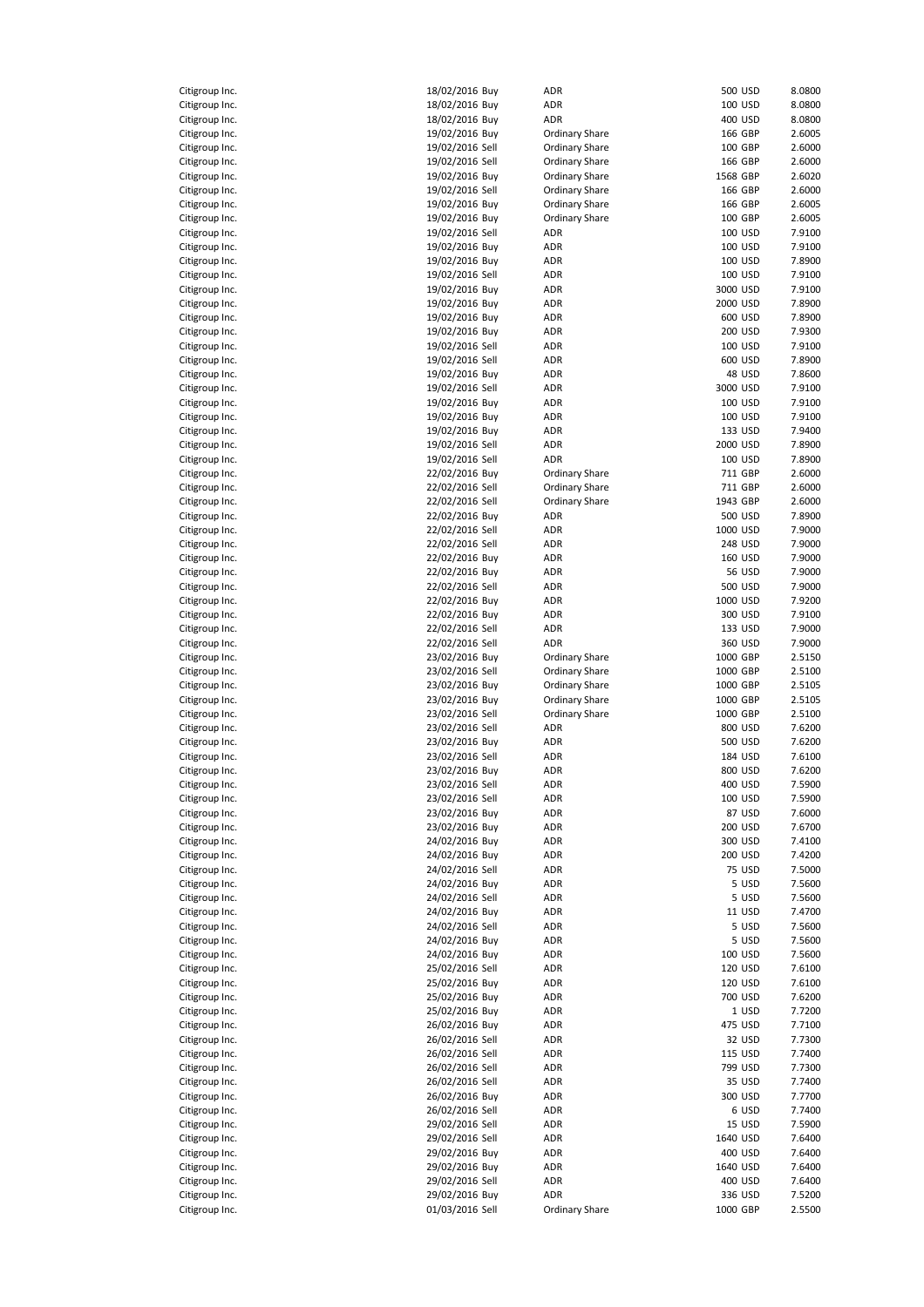|                                                 | Citigroup Ind |
|-------------------------------------------------|---------------|
| Citigroup Ind                                   |               |
| $\mathsf{C}$<br>itigroup Inc.                   |               |
| $\mathsf{C}$<br>itigroup Inc.                   |               |
| itigroup Inc.<br>C                              |               |
| litigroup Inc.<br>C                             |               |
| itigroup Inc.<br>c                              |               |
| Citigroup Inc.<br>C                             |               |
| Citigroup Inc.<br>C                             |               |
| itigroup Inc.<br>Citigroup Inc.                 |               |
| Citigroup Ind                                   |               |
| Citigroup Ind                                   | l.            |
| Citigroup Ind                                   |               |
| Citigroup Inc.                                  |               |
| Citigroup Inc.                                  |               |
| Citigroup Inc.                                  |               |
| Citigroup Inc.<br>C                             |               |
| Citigroup Inc.                                  |               |
| Citigroup Inc.                                  |               |
| Citigroup Inc.                                  |               |
| C<br>itigroup Inc.                              |               |
| C<br>itigroup Inc.                              |               |
| Citigroup Inc.                                  |               |
| Citigroup Inc                                   |               |
| Citigroup Ind                                   |               |
| Citigroup Inc.                                  |               |
| $\mathsf{C}$<br>itigroup Inc.                   |               |
| $\mathfrak c$<br>Citigroup Inc.                 |               |
| itigroup Inc.<br>C                              |               |
| litigroup Inc.<br>C                             |               |
| itigroup Inc.<br>c                              |               |
| Citigroup Inc.<br>C                             |               |
| Citigroup Inc.                                  |               |
| itigroup Inc.<br>C                              |               |
| Citigroup Inc.                                  |               |
| Citigroup Ind                                   |               |
| Citigroup Ind<br>Citigroup Ind                  | l.            |
| Citigroup Inc.                                  |               |
| Citigroup Inc.                                  |               |
|                                                 |               |
|                                                 |               |
| Citigroup Inc.                                  |               |
| Citigroup Inc.<br>Citigroup Inc.                |               |
| Citigroup Inc.                                  |               |
| itigroup Inc.<br>c                              |               |
| C<br>itigroup Inc.                              |               |
| Citigroup Inc.                                  |               |
| Citigroup Ind                                   |               |
| Citigroup Inc                                   |               |
| Citigroup Ind                                   |               |
| itigroup Inc.<br>C                              |               |
| $\mathsf{C}$<br>itigroup Inc.                   |               |
| $\mathsf{C}$<br>itigroup Inc.                   |               |
| itigroup Inc.<br>C                              |               |
| Citigroup Inc.                                  |               |
| itigroup Inc.<br>c                              |               |
| Citigroup Inc.                                  |               |
| Citigroup Inc.                                  |               |
| Citigroup Inc.                                  |               |
| Citigroup Ind                                   | ì.            |
| Citigroup Ind                                   |               |
| Citigroup Inc.                                  |               |
| Citigroup Inc.                                  |               |
| Citigroup Inc.                                  |               |
| Citigroup Inc.<br>Citigroup Inc.                |               |
| Citigroup Inc.                                  |               |
| Citigroup Inc.                                  |               |
| Citigroup Inc.                                  |               |
| C<br>itigroup Inc.                              |               |
| C<br>itigroup Inc.                              |               |
| Citigroup Inc.                                  |               |
| Citigroup Ind                                   |               |
| Citigroup Ind                                   |               |
| itigroup Inc<br>c                               |               |
| Citigroup Inc.                                  |               |
| $\mathsf{C}$<br>itigroup Inc.<br>Citigroup Inc. |               |

| Citigroup Inc.                   | 18/02/2016 Buy                    | ADR                          |          | 500 USD | 8.0800                     |
|----------------------------------|-----------------------------------|------------------------------|----------|---------|----------------------------|
| Citigroup Inc.                   | 18/02/2016 Buy                    | ADR                          |          | 100 USD | 8.0800                     |
|                                  |                                   |                              |          |         |                            |
| Citigroup Inc.                   | 18/02/2016 Buy                    | ADR                          |          | 400 USD | 8.0800                     |
| Citigroup Inc.                   | 19/02/2016 Buy                    | <b>Ordinary Share</b>        |          | 166 GBP | 2.6005                     |
| Citigroup Inc.                   | 19/02/2016 Sell                   | <b>Ordinary Share</b>        |          | 100 GBP | 2.6000                     |
| Citigroup Inc.                   | 19/02/2016 Sell                   | <b>Ordinary Share</b>        |          | 166 GBP | 2.6000                     |
| Citigroup Inc.                   | 19/02/2016 Buy                    | Ordinary Share               | 1568 GBP |         | 2.6020                     |
| Citigroup Inc.                   | 19/02/2016 Sell                   | <b>Ordinary Share</b>        |          | 166 GBP | 2.6000                     |
| Citigroup Inc.                   | 19/02/2016 Buy                    | <b>Ordinary Share</b>        |          | 166 GBP | 2.6005                     |
| Citigroup Inc.                   | 19/02/2016 Buy                    | <b>Ordinary Share</b>        |          | 100 GBP | 2.6005                     |
|                                  |                                   |                              |          |         |                            |
| Citigroup Inc.                   | 19/02/2016 Sell                   | ADR                          |          | 100 USD | 7.9100                     |
| Citigroup Inc.                   | 19/02/2016 Buy                    | ADR                          |          | 100 USD | 7.9100                     |
| Citigroup Inc.                   | 19/02/2016 Buy                    | ADR                          |          | 100 USD | 7.8900                     |
| Citigroup Inc.                   | 19/02/2016 Sell                   | ADR                          |          | 100 USD | 7.9100                     |
| Citigroup Inc.                   | 19/02/2016 Buy                    | ADR                          | 3000 USD |         | 7.9100                     |
| Citigroup Inc.                   | 19/02/2016 Buy                    | ADR                          | 2000 USD |         | 7.8900                     |
| Citigroup Inc.                   | 19/02/2016 Buy                    | ADR                          |          | 600 USD | 7.8900                     |
| Citigroup Inc.                   | 19/02/2016 Buy                    | ADR                          |          | 200 USD | 7.9300                     |
|                                  |                                   |                              |          |         |                            |
| Citigroup Inc.                   | 19/02/2016 Sell                   | ADR                          |          | 100 USD | 7.9100                     |
| Citigroup Inc.                   | 19/02/2016 Sell                   | ADR                          |          | 600 USD | 7.8900                     |
| Citigroup Inc.                   | 19/02/2016 Buy                    | ADR                          |          | 48 USD  | 7.8600                     |
| Citigroup Inc.                   | 19/02/2016 Sell                   | ADR                          | 3000 USD |         | 7.9100                     |
| Citigroup Inc.                   | 19/02/2016 Buy                    | ADR                          |          | 100 USD | 7.9100                     |
| Citigroup Inc.                   | 19/02/2016 Buy                    | ADR                          |          | 100 USD | 7.9100                     |
| Citigroup Inc.                   | 19/02/2016 Buy                    | ADR                          |          | 133 USD | 7.9400                     |
| Citigroup Inc.                   | 19/02/2016 Sell                   | ADR                          | 2000 USD |         | 7.8900                     |
|                                  |                                   |                              |          |         |                            |
| Citigroup Inc.                   | 19/02/2016 Sell                   | ADR                          |          | 100 USD | 7.8900                     |
| Citigroup Inc.                   | 22/02/2016 Buy                    | <b>Ordinary Share</b>        |          | 711 GBP | 2.6000                     |
| Citigroup Inc.                   | 22/02/2016 Sell                   | <b>Ordinary Share</b>        |          | 711 GBP | 2.6000                     |
| Citigroup Inc.                   | 22/02/2016 Sell                   | <b>Ordinary Share</b>        | 1943 GBP |         | 2.6000                     |
| Citigroup Inc.                   | 22/02/2016 Buy                    | ADR                          |          | 500 USD | 7.8900                     |
| Citigroup Inc.                   | 22/02/2016 Sell                   | ADR                          | 1000 USD |         | 7.9000                     |
| Citigroup Inc.                   | 22/02/2016 Sell                   | ADR                          |          | 248 USD | 7.9000                     |
|                                  |                                   |                              |          |         |                            |
| Citigroup Inc.                   | 22/02/2016 Buy                    | ADR                          |          | 160 USD | 7.9000                     |
| Citigroup Inc.                   | 22/02/2016 Buy                    | ADR                          |          | 56 USD  | 7.9000                     |
| Citigroup Inc.                   | 22/02/2016 Sell                   | ADR                          |          | 500 USD | 7.9000                     |
| Citigroup Inc.                   | 22/02/2016 Buy                    | ADR                          | 1000 USD |         | 7.9200                     |
| Citigroup Inc.                   | 22/02/2016 Buy                    | ADR                          |          | 300 USD | 7.9100                     |
| Citigroup Inc.                   | 22/02/2016 Sell                   | ADR                          |          | 133 USD | 7.9000                     |
| Citigroup Inc.                   | 22/02/2016 Sell                   | ADR                          |          | 360 USD | 7.9000                     |
| Citigroup Inc.                   | 23/02/2016 Buy                    | <b>Ordinary Share</b>        | 1000 GBP |         | 2.5150                     |
|                                  | 23/02/2016 Sell                   |                              | 1000 GBP |         | 2.5100                     |
| Citigroup Inc.                   |                                   | <b>Ordinary Share</b>        |          |         |                            |
| Citigroup Inc.                   | 23/02/2016 Buy                    | <b>Ordinary Share</b>        | 1000 GBP |         | 2.5105                     |
| Citigroup Inc.                   | 23/02/2016 Buy                    | <b>Ordinary Share</b>        | 1000 GBP |         | 2.5105                     |
| Citigroup Inc.                   | 23/02/2016 Sell                   | <b>Ordinary Share</b>        | 1000 GBP |         | 2.5100                     |
| Citigroup Inc.                   | 23/02/2016 Sell                   | ADR                          |          | 800 USD | 7.6200                     |
| Citigroup Inc.                   | 23/02/2016 Buy                    | ADR                          |          | 500 USD | 7.6200                     |
| Citigroup Inc.                   | 23/02/2016 Sell                   | ADR                          |          | 184 USD | 7.6100                     |
| Citigroup Inc.                   | 23/02/2016 Buy                    | ADR                          |          | 800 USD | 7.6200                     |
|                                  |                                   |                              |          |         |                            |
| Citigroup Inc.                   | 23/02/2016 Sell                   | ADR                          |          | 400 USD | 7.5900                     |
| Citigroup Inc.                   | 23/02/2016 Sell                   | ADR                          |          | 100 USD | 7.5900                     |
| Citigroup Inc.                   | 23/02/2016 Buy                    | ADR                          |          | 87 USD  | 7.6000                     |
| Citigroup Inc.                   | 23/02/2016 Buy                    | ADR                          |          | 200 USD | 7.6700                     |
| Citigroup Inc.                   | 24/02/2016 Buy                    | ADR                          |          | 300 USD | 7.4100                     |
| Citigroup Inc.                   | 24/02/2016 Buy                    | ADR                          |          | 200 USD | 7.4200                     |
| Citigroup Inc.                   | 24/02/2016 Sell                   | ADR                          |          | 75 USD  | 7.5000                     |
| Citigroup Inc.                   | 24/02/2016 Buy                    | ADR                          |          | 5 USD   | 7.5600                     |
| Citigroup Inc.                   | 24/02/2016 Sell                   | ADR                          |          | 5 USD   | 7.5600                     |
| Citigroup Inc.                   |                                   |                              |          | 11 USD  |                            |
|                                  | 24/02/2016 Buy                    | ADR                          |          |         | 7.4700                     |
| Citigroup Inc.                   | 24/02/2016 Sell                   | ADR                          |          | 5 USD   | 7.5600                     |
| Citigroup Inc.                   | 24/02/2016 Buy                    | ADR                          |          | 5 USD   | 7.5600                     |
| Citigroup Inc.                   | 24/02/2016 Buy                    | ADR                          |          | 100 USD | 7.5600                     |
| Citigroup Inc.                   | 25/02/2016 Sell                   | ADR                          |          | 120 USD | 7.6100                     |
| Citigroup Inc.                   | 25/02/2016 Buy                    | ADR                          |          | 120 USD | 7.6100                     |
| Citigroup Inc.                   | 25/02/2016 Buy                    | ADR                          |          | 700 USD | 7.6200                     |
| Citigroup Inc.                   | 25/02/2016 Buy                    | ADR                          |          | 1 USD   | 7.7200                     |
| Citigroup Inc.                   | 26/02/2016 Buy                    | ADR                          |          | 475 USD | 7.7100                     |
|                                  |                                   |                              |          |         |                            |
| Citigroup Inc.                   | 26/02/2016 Sell                   | ADR                          |          | 32 USD  | 7.7300                     |
| Citigroup Inc.                   | 26/02/2016 Sell                   | ADR                          |          | 115 USD | 7.7400                     |
| Citigroup Inc.                   | 26/02/2016 Sell                   | ADR                          |          | 799 USD | 7.7300                     |
| Citigroup Inc.                   | 26/02/2016 Sell                   | ADR                          |          | 35 USD  | 7.7400                     |
| Citigroup Inc.                   | 26/02/2016 Buy                    | ADR                          |          | 300 USD | 7.7700                     |
| Citigroup Inc.                   | 26/02/2016 Sell                   | ADR                          |          | 6 USD   | 7.7400                     |
| Citigroup Inc.                   | 29/02/2016 Sell                   | ADR                          |          | 15 USD  | 7.5900                     |
| Citigroup Inc.                   | 29/02/2016 Sell                   | ADR                          | 1640 USD |         | 7.6400                     |
| Citigroup Inc.                   | 29/02/2016 Buy                    | ADR                          |          | 400 USD | 7.6400                     |
|                                  |                                   |                              |          |         |                            |
| Citigroup Inc.                   | 29/02/2016 Buy                    | ADR                          | 1640 USD |         | 7.6400                     |
| Citigroup Inc.                   |                                   |                              |          |         |                            |
|                                  | 29/02/2016 Sell                   | ADR                          |          | 400 USD |                            |
| Citigroup Inc.<br>Citigroup Inc. | 29/02/2016 Buy<br>01/03/2016 Sell | ADR<br><b>Ordinary Share</b> | 1000 GBP | 336 USD | 7.6400<br>7.5200<br>2.5500 |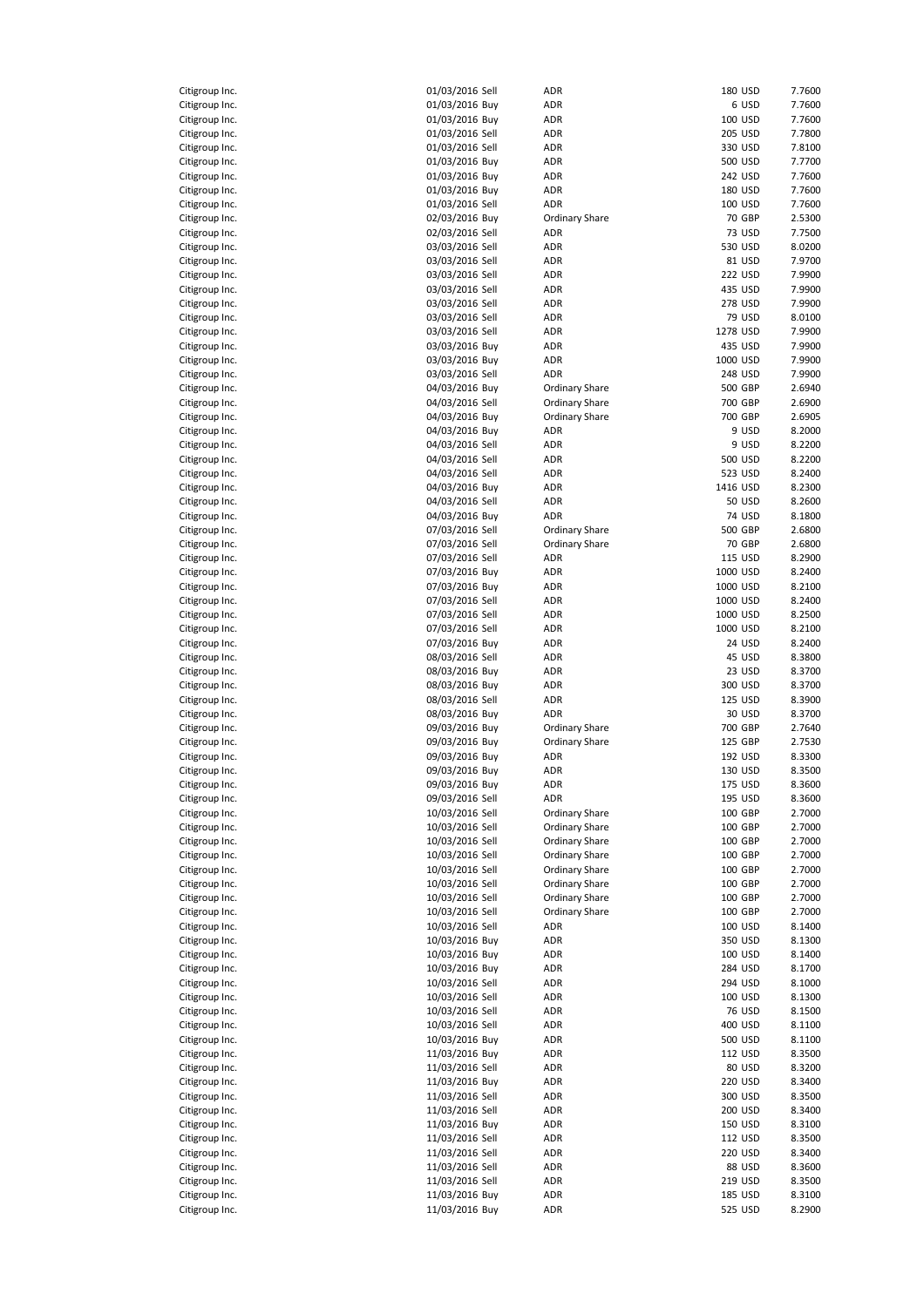| itigroup Inc.<br>c                    |
|---------------------------------------|
|                                       |
| itigroup Inc.<br>C                    |
| Citigroup Inc.                        |
| Citigroup Inc.                        |
| litigroup Inc.<br>C                   |
| Citigroup Inc.<br>Citigroup Inc.      |
| Citigroup Inc.                        |
| Citigroup Ind                         |
| Citigroup Inc.                        |
| Citigroup Inc.                        |
| Citigroup Inc.                        |
| Citigroup Inc.<br>C                   |
| Citigroup Inc.                        |
| Citigroup Inc.                        |
| Citigroup Inc.<br>Citigroup Inc.      |
| Citigroup Inc.                        |
| Citigroup Inc.<br>C                   |
| Citigroup Inc.                        |
| Citigroup Ind                         |
| Citigroup Inc.                        |
| Citigroup Ind                         |
| Citigroup Inc.                        |
| itigroup Inc.<br>C<br>$\mathsf{C}$    |
| Citigroup Inc.<br>itigroup Inc.<br>C  |
| Citigroup Inc.<br>C                   |
| Citigroup Inc.                        |
| itigroup Inc.<br>C                    |
| Citigroup Inc.                        |
| Citigroup Inc.                        |
| Citigroup Inc.                        |
| Citigroup Ind                         |
| Citigroup Inc.                        |
| Citigroup Inc.                        |
| Citigroup Inc.<br>Citigroup Inc.<br>C |
| Citigroup Inc.                        |
| Citigroup Inc.                        |
| Citigroup Inc.                        |
| Citigroup Inc.<br>C                   |
|                                       |
| Citigroup Inc.                        |
| Citigroup Inc.                        |
| Citigroup Inc.                        |
| Citigroup Inc                         |
| Citigroup Inc.                        |
| Citigroup Inc.                        |
| Citigroup Inc.                        |
| Citigroup Inc.<br>C                   |
| Citigroup Inc.<br>Citigroup Inc.      |
| Citigroup Inc.                        |
| Citigroup Inc.                        |
| Citigroup Inc.                        |
| Citigroup Inc.                        |
| Citigroup Inc.                        |
| Citigroup Inc.                        |
| Citigroup Inc.                        |
| Citigroup Inc.                        |
| Citigroup Inc.<br>Citigroup Inc.      |
| Citigroup Inc.                        |
| Citigroup Inc.                        |
| Citigroup Inc.                        |
| Citigroup Inc.                        |
| Citigroup Inc.                        |
| Citigroup Inc.                        |
| Citigroup Ind                         |
| Citigroup Inc.                        |
| Citigroup Ind<br>Citigroup Inc.       |
| Citigroup Inc.                        |
| $\mathsf{C}$<br>Citigroup Inc.        |
| Citigroup Inc.                        |
| Citigroup Inc.                        |
| Citigroup Inc.<br>Citigroup Inc.      |

| Citigroup Inc. | 01/03/2016 Sell | ADR                   |          | 180 USD        | 7.7600 |
|----------------|-----------------|-----------------------|----------|----------------|--------|
| Citigroup Inc. | 01/03/2016 Buy  | ADR                   |          | 6 USD          | 7.7600 |
| Citigroup Inc. | 01/03/2016 Buy  | ADR                   |          | 100 USD        | 7.7600 |
|                |                 |                       |          |                |        |
| Citigroup Inc. | 01/03/2016 Sell | ADR                   |          | 205 USD        | 7.7800 |
| Citigroup Inc. | 01/03/2016 Sell | ADR                   |          | 330 USD        | 7.8100 |
| Citigroup Inc. | 01/03/2016 Buy  | ADR                   |          | 500 USD        | 7.7700 |
| Citigroup Inc. | 01/03/2016 Buy  | ADR                   |          | 242 USD        | 7.7600 |
| Citigroup Inc. | 01/03/2016 Buy  | ADR                   |          | 180 USD        | 7.7600 |
| Citigroup Inc. | 01/03/2016 Sell | ADR                   |          | 100 USD        | 7.7600 |
| Citigroup Inc. | 02/03/2016 Buy  | <b>Ordinary Share</b> |          | 70 GBP         | 2.5300 |
| Citigroup Inc. | 02/03/2016 Sell | ADR                   |          | 73 USD         | 7.7500 |
|                |                 |                       |          |                |        |
| Citigroup Inc. | 03/03/2016 Sell | ADR                   |          | 530 USD        | 8.0200 |
| Citigroup Inc. | 03/03/2016 Sell | ADR                   |          | 81 USD         | 7.9700 |
| Citigroup Inc. | 03/03/2016 Sell | ADR                   |          | <b>222 USD</b> | 7.9900 |
| Citigroup Inc. | 03/03/2016 Sell | ADR                   |          | 435 USD        | 7.9900 |
| Citigroup Inc. | 03/03/2016 Sell | ADR                   |          | 278 USD        | 7.9900 |
| Citigroup Inc. | 03/03/2016 Sell | ADR                   |          | 79 USD         | 8.0100 |
| Citigroup Inc. | 03/03/2016 Sell | ADR                   |          | 1278 USD       | 7.9900 |
| Citigroup Inc. | 03/03/2016 Buy  | ADR                   |          | 435 USD        | 7.9900 |
|                |                 |                       |          |                |        |
| Citigroup Inc. | 03/03/2016 Buy  | ADR                   |          | 1000 USD       | 7.9900 |
| Citigroup Inc. | 03/03/2016 Sell | ADR                   |          | 248 USD        | 7.9900 |
| Citigroup Inc. | 04/03/2016 Buy  | <b>Ordinary Share</b> |          | 500 GBP        | 2.6940 |
| Citigroup Inc. | 04/03/2016 Sell | Ordinary Share        |          | 700 GBP        | 2.6900 |
| Citigroup Inc. | 04/03/2016 Buy  | <b>Ordinary Share</b> |          | 700 GBP        | 2.6905 |
| Citigroup Inc. | 04/03/2016 Buy  | ADR                   |          | 9 USD          | 8.2000 |
| Citigroup Inc. | 04/03/2016 Sell | ADR                   |          | 9 USD          | 8.2200 |
| Citigroup Inc. | 04/03/2016 Sell | ADR                   |          | 500 USD        | 8.2200 |
|                |                 | ADR                   |          | 523 USD        | 8.2400 |
| Citigroup Inc. | 04/03/2016 Sell |                       |          |                |        |
| Citigroup Inc. | 04/03/2016 Buy  | ADR                   |          | 1416 USD       | 8.2300 |
| Citigroup Inc. | 04/03/2016 Sell | ADR                   |          | <b>50 USD</b>  | 8.2600 |
| Citigroup Inc. | 04/03/2016 Buy  | ADR                   |          | 74 USD         | 8.1800 |
| Citigroup Inc. | 07/03/2016 Sell | <b>Ordinary Share</b> |          | 500 GBP        | 2.6800 |
| Citigroup Inc. | 07/03/2016 Sell | <b>Ordinary Share</b> |          | 70 GBP         | 2.6800 |
| Citigroup Inc. | 07/03/2016 Sell | ADR                   |          | 115 USD        | 8.2900 |
| Citigroup Inc. | 07/03/2016 Buy  | ADR                   |          | 1000 USD       | 8.2400 |
|                |                 | ADR                   |          | 1000 USD       | 8.2100 |
| Citigroup Inc. | 07/03/2016 Buy  |                       |          |                |        |
| Citigroup Inc. | 07/03/2016 Sell | ADR                   | 1000 USD |                | 8.2400 |
| Citigroup Inc. | 07/03/2016 Sell | ADR                   | 1000 USD |                | 8.2500 |
| Citigroup Inc. | 07/03/2016 Sell | ADR                   | 1000 USD |                | 8.2100 |
| Citigroup Inc. | 07/03/2016 Buy  | ADR                   |          | 24 USD         | 8.2400 |
| Citigroup Inc. | 08/03/2016 Sell | ADR                   |          | 45 USD         | 8.3800 |
| Citigroup Inc. | 08/03/2016 Buy  | ADR                   |          | 23 USD         | 8.3700 |
| Citigroup Inc. | 08/03/2016 Buy  | ADR                   |          | 300 USD        | 8.3700 |
| Citigroup Inc. | 08/03/2016 Sell | ADR                   |          | 125 USD        | 8.3900 |
|                |                 |                       |          |                |        |
| Citigroup Inc. | 08/03/2016 Buy  | ADR                   |          | 30 USD         | 8.3700 |
| Citigroup Inc. | 09/03/2016 Buy  | <b>Ordinary Share</b> |          | 700 GBP        | 2.7640 |
| Citigroup Inc. | 09/03/2016 Buy  | Ordinary Share        |          | 125 GBP        | 2.7530 |
| Citigroup Inc. | 09/03/2016 Buy  | ADR                   |          | 192 USD        | 8.3300 |
| Citigroup Inc. | 09/03/2016 Buy  | ADR                   |          | 130 USD        | 8.3500 |
| Citigroup Inc. | 09/03/2016 Buy  | ADR                   |          | 175 USD        | 8.3600 |
| Citigroup Inc. | 09/03/2016 Sell | ADR                   |          | 195 USD        | 8.3600 |
| Citigroup Inc. | 10/03/2016 Sell | <b>Ordinary Share</b> |          | 100 GBP        | 2.7000 |
| Citigroup Inc. | 10/03/2016 Sell | <b>Ordinary Share</b> |          | 100 GBP        | 2.7000 |
|                |                 |                       |          |                |        |
| Citigroup Inc. | 10/03/2016 Sell | <b>Ordinary Share</b> |          | 100 GBP        | 2.7000 |
| Citigroup Inc. | 10/03/2016 Sell | Ordinary Share        |          | 100 GBP        | 2.7000 |
| Citigroup Inc. | 10/03/2016 Sell | <b>Ordinary Share</b> |          | 100 GBP        | 2.7000 |
| Citigroup Inc. | 10/03/2016 Sell | <b>Ordinary Share</b> |          | 100 GBP        | 2.7000 |
| Citigroup Inc. | 10/03/2016 Sell | <b>Ordinary Share</b> |          | 100 GBP        | 2.7000 |
| Citigroup Inc. | 10/03/2016 Sell | Ordinary Share        |          | 100 GBP        | 2.7000 |
| Citigroup Inc. | 10/03/2016 Sell | ADR                   |          | 100 USD        | 8.1400 |
| Citigroup Inc. | 10/03/2016 Buy  | ADR                   |          | 350 USD        | 8.1300 |
| Citigroup Inc. | 10/03/2016 Buy  | ADR                   |          | 100 USD        | 8.1400 |
|                | 10/03/2016 Buy  | ADR                   |          | 284 USD        | 8.1700 |
| Citigroup Inc. |                 |                       |          |                |        |
| Citigroup Inc. | 10/03/2016 Sell | ADR                   |          | 294 USD        | 8.1000 |
| Citigroup Inc. | 10/03/2016 Sell | ADR                   |          | 100 USD        | 8.1300 |
| Citigroup Inc. | 10/03/2016 Sell | ADR                   |          | <b>76 USD</b>  | 8.1500 |
| Citigroup Inc. | 10/03/2016 Sell | ADR                   |          | 400 USD        | 8.1100 |
| Citigroup Inc. | 10/03/2016 Buy  | ADR                   |          | 500 USD        | 8.1100 |
| Citigroup Inc. | 11/03/2016 Buy  | ADR                   |          | 112 USD        | 8.3500 |
| Citigroup Inc. | 11/03/2016 Sell | ADR                   |          | 80 USD         | 8.3200 |
| Citigroup Inc. | 11/03/2016 Buy  | ADR                   |          | 220 USD        | 8.3400 |
| Citigroup Inc. | 11/03/2016 Sell | ADR                   |          | 300 USD        | 8.3500 |
|                |                 |                       |          |                |        |
| Citigroup Inc. | 11/03/2016 Sell | ADR                   |          | 200 USD        | 8.3400 |
| Citigroup Inc. | 11/03/2016 Buy  | ADR                   |          | 150 USD        | 8.3100 |
| Citigroup Inc. | 11/03/2016 Sell | ADR                   |          | 112 USD        | 8.3500 |
| Citigroup Inc. | 11/03/2016 Sell | ADR                   |          | 220 USD        | 8.3400 |
| Citigroup Inc. | 11/03/2016 Sell | ADR                   |          | 88 USD         | 8.3600 |
| Citigroup Inc. | 11/03/2016 Sell | ADR                   |          | 219 USD        | 8.3500 |
| Citigroup Inc. | 11/03/2016 Buy  | ADR                   |          | 185 USD        | 8.3100 |
| Citigroup Inc. | 11/03/2016 Buy  | ADR                   |          | 525 USD        | 8.2900 |
|                |                 |                       |          |                |        |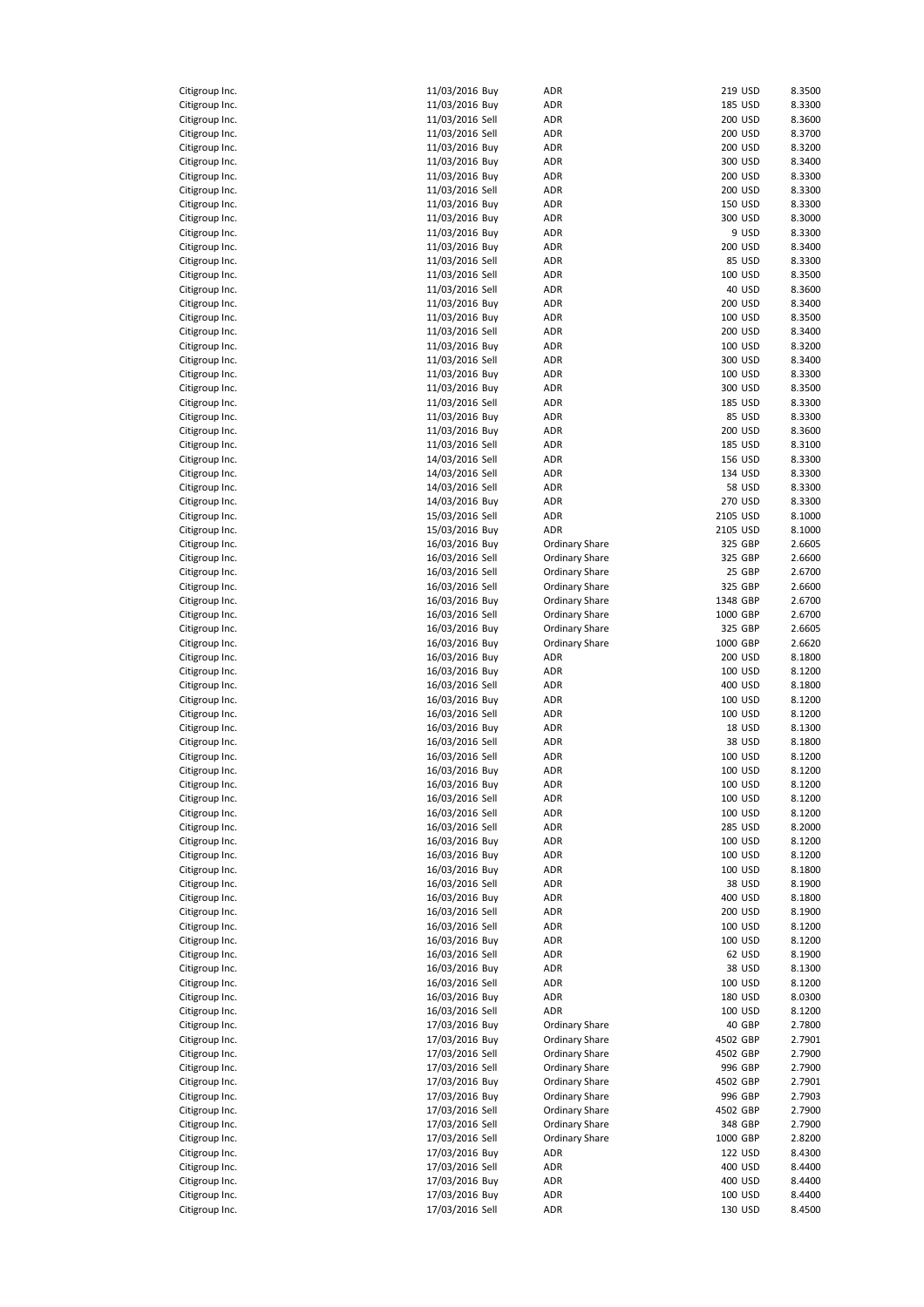| Citigroup Inc.<br>litigroup Inc.<br>C |
|---------------------------------------|
|                                       |
| Citigroup Inc.                        |
| Citigroup Inc.                        |
| Citigroup Inc.                        |
| itigroup Inc.<br>C                    |
| Citigroup Inc.                        |
| Citigroup Inc.                        |
| Citigroup Inc.                        |
| Citigroup Ind                         |
| Citigroup Inc.                        |
| Citigroup Inc.                        |
| itigroup Inc.<br>C                    |
| litigroup Inc.<br>C                   |
| Citigroup Inc.                        |
| Citigroup Inc.                        |
| Citigroup Inc.<br>C                   |
| itigroup Inc.<br>c                    |
| itigroup Inc.<br>C                    |
| litigroup Inc.<br>C                   |
| Citigroup Inc.                        |
| Citigroup Inc<br>l.                   |
| Citigroup Ind                         |
| Citigroup Inc.                        |
| Citigroup Inc.                        |
| Citigroup Inc.                        |
| Citigroup Inc.<br>C                   |
| Citigroup Inc.                        |
| Citigroup Inc.                        |
| Citigroup Inc.                        |
| itigroup Inc.<br>C                    |
| Citigroup Inc.                        |
| Citigroup Inc.                        |
| Citigroup Inc.                        |
| Citigroup Ind                         |
| Citigroup Inc.                        |
| Citigroup Inc.<br>c                   |
| itigroup Inc.<br>C                    |
| itigroup Inc.<br>C                    |
| Citigroup Inc.<br>C                   |
| Citigroup Inc.                        |
| Citigroup Inc.<br>C                   |
| litigroup Inc.<br>C                   |
| itigroup Inc.<br>C                    |
| Citigroup Inc.                        |
| Citigroup Ind                         |
|                                       |
| Citigroup Ind                         |
| Citigroup Ind                         |
| Citigroup Inc.                        |
| Citigroup Inc.                        |
| Citigroup Inc.                        |
| Citigroup Inc.                        |
| Citigroup Inc.                        |
| Citigroup Inc.                        |
| Citigroup Inc.                        |
| Citigroup Inc.                        |
| Citigroup Inc.                        |
| Citigroup Inc.                        |
| Citigroup Inc.<br>Citigroup Inc.      |
| Citigroup Inc.                        |
|                                       |
| Citigroup Inc.                        |
| Citigroup Inc.<br>Citigroup Inc.      |
| Citigroup Inc.                        |
| Citigroup Inc.                        |
| Citigroup Inc.                        |
| Citigroup Inc.                        |
| Citigroup Inc.                        |
| Citigroup Inc.                        |
| Citigroup Ind<br>l.                   |
| Citigroup Inc.                        |
| Citigroup Inc.                        |
| Citigroup Inc.                        |
| Citigroup Inc.                        |
| Citigroup Inc.                        |
| Citigroup Inc.<br>Citigroup Inc.      |
| Citigroup<br>Inc.                     |

| Citigroup Inc. | 11/03/2016 Buy  | ADR                   |          | 219 USD       | 8.3500 |
|----------------|-----------------|-----------------------|----------|---------------|--------|
| Citigroup Inc. | 11/03/2016 Buy  | ADR                   |          | 185 USD       | 8.3300 |
| Citigroup Inc. | 11/03/2016 Sell | ADR                   |          | 200 USD       | 8.3600 |
| Citigroup Inc. | 11/03/2016 Sell | ADR                   |          | 200 USD       | 8.3700 |
| Citigroup Inc. | 11/03/2016 Buy  | ADR                   |          | 200 USD       | 8.3200 |
| Citigroup Inc. | 11/03/2016 Buy  | ADR                   |          | 300 USD       | 8.3400 |
| Citigroup Inc. | 11/03/2016 Buy  | ADR                   |          | 200 USD       | 8.3300 |
| Citigroup Inc. | 11/03/2016 Sell | ADR                   |          | 200 USD       | 8.3300 |
|                |                 |                       |          |               |        |
| Citigroup Inc. | 11/03/2016 Buy  | ADR                   |          | 150 USD       | 8.3300 |
| Citigroup Inc. | 11/03/2016 Buy  | ADR                   |          | 300 USD       | 8.3000 |
| Citigroup Inc. | 11/03/2016 Buy  | ADR                   |          | 9 USD         | 8.3300 |
| Citigroup Inc. | 11/03/2016 Buy  | ADR                   |          | 200 USD       | 8.3400 |
| Citigroup Inc. | 11/03/2016 Sell | ADR                   |          | 85 USD        | 8.3300 |
| Citigroup Inc. | 11/03/2016 Sell | ADR                   |          | 100 USD       | 8.3500 |
| Citigroup Inc. | 11/03/2016 Sell | ADR                   |          | 40 USD        | 8.3600 |
| Citigroup Inc. | 11/03/2016 Buy  | ADR                   |          | 200 USD       | 8.3400 |
| Citigroup Inc. | 11/03/2016 Buy  | ADR                   |          | 100 USD       | 8.3500 |
| Citigroup Inc. | 11/03/2016 Sell | ADR                   |          | 200 USD       | 8.3400 |
| Citigroup Inc. | 11/03/2016 Buy  | ADR                   |          | 100 USD       | 8.3200 |
| Citigroup Inc. | 11/03/2016 Sell | ADR                   |          | 300 USD       | 8.3400 |
| Citigroup Inc. | 11/03/2016 Buy  | ADR                   |          | 100 USD       | 8.3300 |
| Citigroup Inc. | 11/03/2016 Buy  | ADR                   |          | 300 USD       | 8.3500 |
| Citigroup Inc. | 11/03/2016 Sell | ADR                   |          | 185 USD       | 8.3300 |
| Citigroup Inc. | 11/03/2016 Buy  | ADR                   |          | 85 USD        | 8.3300 |
|                | 11/03/2016 Buy  | ADR                   |          | 200 USD       | 8.3600 |
| Citigroup Inc. |                 |                       |          |               |        |
| Citigroup Inc. | 11/03/2016 Sell | ADR                   |          | 185 USD       | 8.3100 |
| Citigroup Inc. | 14/03/2016 Sell | ADR                   |          | 156 USD       | 8.3300 |
| Citigroup Inc. | 14/03/2016 Sell | ADR                   |          | 134 USD       | 8.3300 |
| Citigroup Inc. | 14/03/2016 Sell | ADR                   |          | <b>58 USD</b> | 8.3300 |
| Citigroup Inc. | 14/03/2016 Buy  | ADR                   |          | 270 USD       | 8.3300 |
| Citigroup Inc. | 15/03/2016 Sell | ADR                   | 2105 USD |               | 8.1000 |
| Citigroup Inc. | 15/03/2016 Buy  | ADR                   | 2105 USD |               | 8.1000 |
| Citigroup Inc. | 16/03/2016 Buy  | Ordinary Share        |          | 325 GBP       | 2.6605 |
| Citigroup Inc. | 16/03/2016 Sell | Ordinary Share        |          | 325 GBP       | 2.6600 |
| Citigroup Inc. | 16/03/2016 Sell | <b>Ordinary Share</b> |          | 25 GBP        | 2.6700 |
| Citigroup Inc. | 16/03/2016 Sell | Ordinary Share        |          | 325 GBP       | 2.6600 |
| Citigroup Inc. | 16/03/2016 Buy  | Ordinary Share        | 1348 GBP |               | 2.6700 |
| Citigroup Inc. | 16/03/2016 Sell | <b>Ordinary Share</b> | 1000 GBP |               | 2.6700 |
| Citigroup Inc. | 16/03/2016 Buy  | <b>Ordinary Share</b> |          | 325 GBP       | 2.6605 |
|                |                 |                       | 1000 GBP |               | 2.6620 |
| Citigroup Inc. | 16/03/2016 Buy  | Ordinary Share        |          |               |        |
| Citigroup Inc. | 16/03/2016 Buy  | ADR                   |          | 200 USD       | 8.1800 |
| Citigroup Inc. | 16/03/2016 Buy  | ADR                   |          | 100 USD       | 8.1200 |
| Citigroup Inc. | 16/03/2016 Sell | ADR                   |          | 400 USD       | 8.1800 |
| Citigroup Inc. | 16/03/2016 Buy  | ADR                   |          | 100 USD       | 8.1200 |
| Citigroup Inc. | 16/03/2016 Sell | ADR                   |          | 100 USD       | 8.1200 |
| Citigroup Inc. | 16/03/2016 Buy  | ADR                   |          | 18 USD        | 8.1300 |
| Citigroup Inc. | 16/03/2016 Sell | ADR                   |          | 38 USD        | 8.1800 |
| Citigroup Inc. | 16/03/2016 Sell | ADR                   |          | 100 USD       | 8.1200 |
| Citigroup Inc. | 16/03/2016 Buy  | ADR                   |          | 100 USD       | 8.1200 |
| Citigroup Inc. | 16/03/2016 Buy  | ADR                   |          | 100 USD       | 8.1200 |
| Citigroup Inc. | 16/03/2016 Sell | ADR                   |          | 100 USD       | 8.1200 |
| Citigroup Inc. | 16/03/2016 Sell | ADR                   |          | 100 USD       | 8.1200 |
| Citigroup Inc. | 16/03/2016 Sell | ADR                   |          | 285 USD       | 8.2000 |
| Citigroup Inc. | 16/03/2016 Buy  | ADR                   |          | 100 USD       | 8.1200 |
|                |                 |                       |          |               |        |
| Citigroup Inc. | 16/03/2016 Buy  | ADR                   |          | 100 USD       | 8.1200 |
| Citigroup Inc. | 16/03/2016 Buy  | ADR                   |          | 100 USD       | 8.1800 |
| Citigroup Inc. | 16/03/2016 Sell | ADR                   |          | 38 USD        | 8.1900 |
| Citigroup Inc. | 16/03/2016 Buy  | ADR                   |          | 400 USD       | 8.1800 |
| Citigroup Inc. | 16/03/2016 Sell | ADR                   |          | 200 USD       | 8.1900 |
| Citigroup Inc. | 16/03/2016 Sell | ADR                   |          | 100 USD       | 8.1200 |
| Citigroup Inc. | 16/03/2016 Buy  | ADR                   |          | 100 USD       | 8.1200 |
| Citigroup Inc. | 16/03/2016 Sell | ADR                   |          | 62 USD        | 8.1900 |
| Citigroup Inc. | 16/03/2016 Buy  | ADR                   |          | 38 USD        | 8.1300 |
| Citigroup Inc. | 16/03/2016 Sell | ADR                   |          | 100 USD       | 8.1200 |
| Citigroup Inc. | 16/03/2016 Buy  | ADR                   |          | 180 USD       | 8.0300 |
| Citigroup Inc. | 16/03/2016 Sell | ADR                   |          | 100 USD       | 8.1200 |
| Citigroup Inc. | 17/03/2016 Buy  | <b>Ordinary Share</b> |          | 40 GBP        | 2.7800 |
| Citigroup Inc. | 17/03/2016 Buy  | <b>Ordinary Share</b> | 4502 GBP |               | 2.7901 |
| Citigroup Inc. | 17/03/2016 Sell | <b>Ordinary Share</b> | 4502 GBP |               | 2.7900 |
|                |                 |                       |          |               |        |
| Citigroup Inc. | 17/03/2016 Sell | <b>Ordinary Share</b> |          | 996 GBP       | 2.7900 |
| Citigroup Inc. | 17/03/2016 Buy  | <b>Ordinary Share</b> | 4502 GBP |               | 2.7901 |
| Citigroup Inc. | 17/03/2016 Buy  | <b>Ordinary Share</b> |          | 996 GBP       | 2.7903 |
| Citigroup Inc. | 17/03/2016 Sell | <b>Ordinary Share</b> | 4502 GBP |               | 2.7900 |
| Citigroup Inc. | 17/03/2016 Sell | <b>Ordinary Share</b> |          | 348 GBP       | 2.7900 |
| Citigroup Inc. | 17/03/2016 Sell | <b>Ordinary Share</b> | 1000 GBP |               | 2.8200 |
| Citigroup Inc. | 17/03/2016 Buy  | ADR                   |          | 122 USD       | 8.4300 |
| Citigroup Inc. | 17/03/2016 Sell | ADR                   |          | 400 USD       | 8.4400 |
| Citigroup Inc. | 17/03/2016 Buy  | ADR                   |          | 400 USD       | 8.4400 |
| Citigroup Inc. | 17/03/2016 Buy  | ADR                   |          | 100 USD       | 8.4400 |
| Citigroup Inc. | 17/03/2016 Sell | ADR                   |          | 130 USD       | 8.4500 |
|                |                 |                       |          |               |        |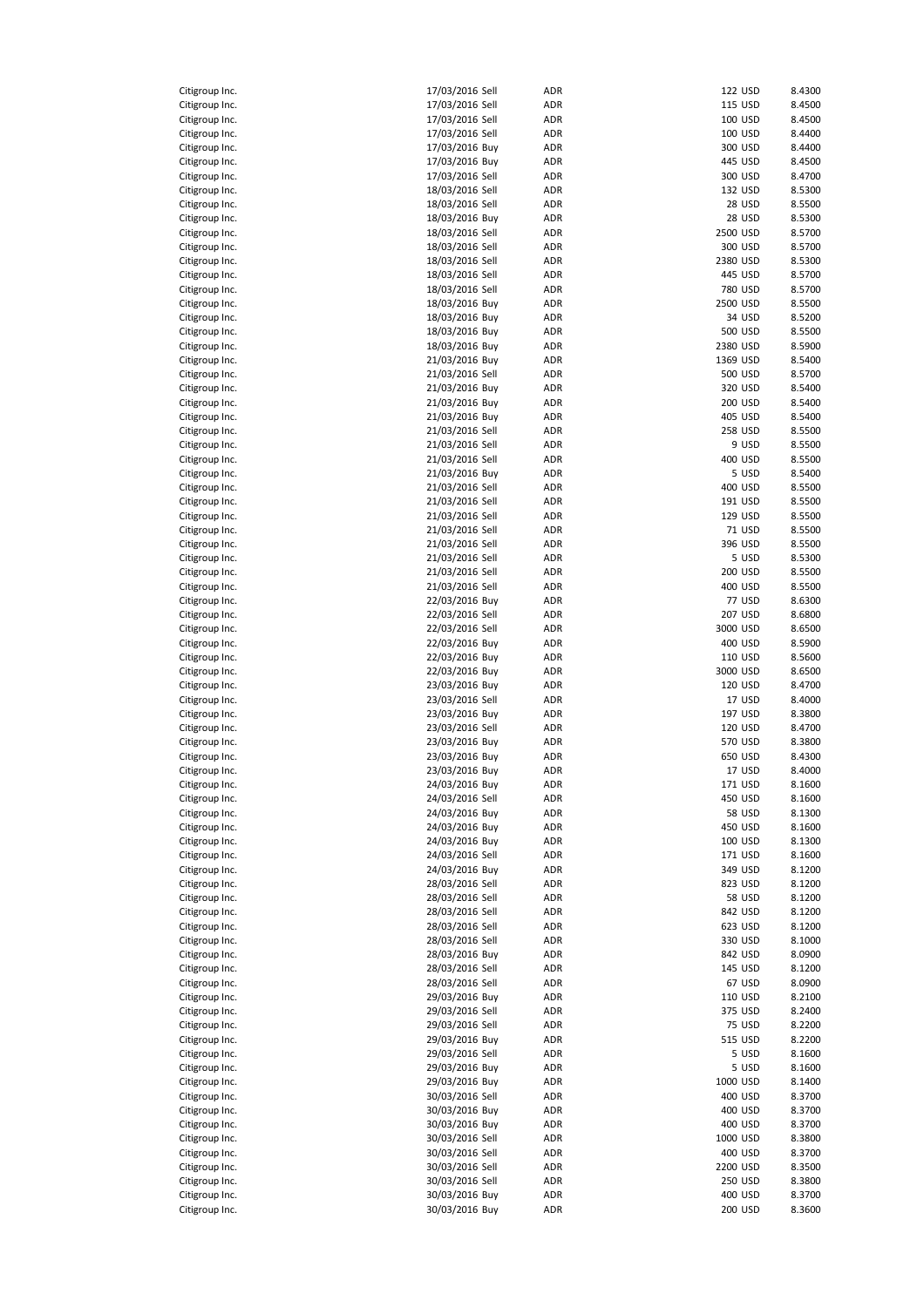| Citigroup Inc.                   | 17/03/2016 Sell                   | ADR | 122 USD            | 8.4300 |
|----------------------------------|-----------------------------------|-----|--------------------|--------|
| Citigroup Inc.                   | 17/03/2016 Sell                   | ADR | 115 USD            | 8.4500 |
| Citigroup Inc.                   | 17/03/2016 Sell                   | ADR | 100 USD            | 8.4500 |
|                                  |                                   |     |                    |        |
| Citigroup Inc.                   | 17/03/2016 Sell                   | ADR | 100 USD            | 8.4400 |
| Citigroup Inc.                   | 17/03/2016 Buy                    | ADR | 300 USD            | 8.4400 |
| Citigroup Inc.                   | 17/03/2016 Buy                    | ADR | 445 USD            | 8.4500 |
| Citigroup Inc.                   | 17/03/2016 Sell                   | ADR | 300 USD            | 8.4700 |
| Citigroup Inc.                   | 18/03/2016 Sell                   | ADR | 132 USD            | 8.5300 |
| Citigroup Inc.                   | 18/03/2016 Sell                   | ADR | 28 USD             | 8.5500 |
| Citigroup Inc.                   | 18/03/2016 Buy                    | ADR | <b>28 USD</b>      | 8.5300 |
| Citigroup Inc.                   | 18/03/2016 Sell                   | ADR | 2500 USD           | 8.5700 |
| Citigroup Inc.                   | 18/03/2016 Sell                   | ADR | 300 USD            | 8.5700 |
|                                  |                                   |     |                    |        |
| Citigroup Inc.                   | 18/03/2016 Sell                   | ADR | 2380 USD           | 8.5300 |
| Citigroup Inc.                   | 18/03/2016 Sell                   | ADR | 445 USD            | 8.5700 |
| Citigroup Inc.                   | 18/03/2016 Sell                   | ADR | 780 USD            | 8.5700 |
| Citigroup Inc.                   | 18/03/2016 Buy                    | ADR | 2500 USD           | 8.5500 |
| Citigroup Inc.                   | 18/03/2016 Buy                    | ADR | 34 USD             | 8.5200 |
| Citigroup Inc.                   | 18/03/2016 Buy                    | ADR | 500 USD            | 8.5500 |
| Citigroup Inc.                   | 18/03/2016 Buy                    | ADR | 2380 USD           | 8.5900 |
| Citigroup Inc.                   | 21/03/2016 Buy                    | ADR | 1369 USD           | 8.5400 |
| Citigroup Inc.                   | 21/03/2016 Sell                   | ADR | 500 USD            | 8.5700 |
|                                  |                                   |     |                    |        |
| Citigroup Inc.                   | 21/03/2016 Buy                    | ADR | 320 USD            | 8.5400 |
| Citigroup Inc.                   | 21/03/2016 Buy                    | ADR | 200 USD            | 8.5400 |
| Citigroup Inc.                   | 21/03/2016 Buy                    | ADR | 405 USD            | 8.5400 |
| Citigroup Inc.                   | 21/03/2016 Sell                   | ADR | <b>258 USD</b>     | 8.5500 |
| Citigroup Inc.                   | 21/03/2016 Sell                   | ADR | 9 USD              | 8.5500 |
| Citigroup Inc.                   | 21/03/2016 Sell                   | ADR | 400 USD            | 8.5500 |
| Citigroup Inc.                   | 21/03/2016 Buy                    | ADR | 5 USD              | 8.5400 |
| Citigroup Inc.                   | 21/03/2016 Sell                   | ADR | 400 USD            | 8.5500 |
| Citigroup Inc.                   | 21/03/2016 Sell                   | ADR | 191 USD            | 8.5500 |
| Citigroup Inc.                   | 21/03/2016 Sell                   | ADR | 129 USD            | 8.5500 |
|                                  |                                   |     |                    |        |
| Citigroup Inc.                   | 21/03/2016 Sell                   | ADR | 71 USD             | 8.5500 |
| Citigroup Inc.                   | 21/03/2016 Sell                   | ADR | 396 USD            | 8.5500 |
| Citigroup Inc.                   | 21/03/2016 Sell                   | ADR | 5 USD              | 8.5300 |
| Citigroup Inc.                   | 21/03/2016 Sell                   | ADR | 200 USD            | 8.5500 |
| Citigroup Inc.                   | 21/03/2016 Sell                   | ADR | 400 USD            | 8.5500 |
| Citigroup Inc.                   | 22/03/2016 Buy                    | ADR | <b>77 USD</b>      | 8.6300 |
| Citigroup Inc.                   | 22/03/2016 Sell                   | ADR | 207 USD            | 8.6800 |
| Citigroup Inc.                   | 22/03/2016 Sell                   | ADR | 3000 USD           | 8.6500 |
| Citigroup Inc.                   | 22/03/2016 Buy                    | ADR | 400 USD            | 8.5900 |
| Citigroup Inc.                   | 22/03/2016 Buy                    | ADR | 110 USD            | 8.5600 |
|                                  |                                   | ADR | 3000 USD           | 8.6500 |
| Citigroup Inc.                   | 22/03/2016 Buy                    |     |                    |        |
| Citigroup Inc.                   | 23/03/2016 Buy                    | ADR | 120 USD            | 8.4700 |
| Citigroup Inc.                   | 23/03/2016 Sell                   | ADR | 17 USD             | 8.4000 |
| Citigroup Inc.                   | 23/03/2016 Buy                    | ADR | 197 USD            | 8.3800 |
| Citigroup Inc.                   | 23/03/2016 Sell                   | ADR | 120 USD            | 8.4700 |
| Citigroup Inc.                   | 23/03/2016 Buy                    | ADR | 570 USD            | 8.3800 |
| Citigroup Inc.                   | 23/03/2016 Buy                    | ADR | 650 USD            | 8.4300 |
| Citigroup Inc.                   | 23/03/2016 Buy                    | ADR | 17 USD             | 8.4000 |
| Citigroup Inc.                   | 24/03/2016 Buy                    | ADR | 171 USD            | 8.1600 |
| Citigroup Inc.                   | 24/03/2016 Sell                   | ADR | 450 USD            | 8.1600 |
|                                  |                                   |     |                    |        |
| Citigroup Inc.                   | 24/03/2016 Buy                    | ADR | <b>58 USD</b>      | 8.1300 |
| Citigroup Inc.                   | 24/03/2016 Buy                    | ADR | 450 USD            | 8.1600 |
| Citigroup Inc.                   | 24/03/2016 Buy                    | ADR | 100 USD            | 8.1300 |
| Citigroup Inc.                   | 24/03/2016 Sell                   | ADR | 171 USD            | 8.1600 |
| Citigroup Inc.                   | 24/03/2016 Buy                    | ADR | 349 USD            | 8.1200 |
| Citigroup Inc.                   | 28/03/2016 Sell                   | ADR | 823 USD            | 8.1200 |
| Citigroup Inc.                   | 28/03/2016 Sell                   | ADR | <b>58 USD</b>      | 8.1200 |
| Citigroup Inc.                   | 28/03/2016 Sell                   | ADR | 842 USD            | 8.1200 |
| Citigroup Inc.                   | 28/03/2016 Sell                   | ADR | 623 USD            | 8.1200 |
| Citigroup Inc.                   | 28/03/2016 Sell                   | ADR | 330 USD            | 8.1000 |
| Citigroup Inc.                   |                                   |     |                    |        |
|                                  | 28/03/2016 Buy<br>28/03/2016 Sell | ADR | 842 USD<br>145 USD | 8.0900 |
| Citigroup Inc.                   |                                   | ADR |                    | 8.1200 |
| Citigroup Inc.                   | 28/03/2016 Sell                   | ADR | 67 USD             | 8.0900 |
| Citigroup Inc.                   | 29/03/2016 Buy                    | ADR | 110 USD            | 8.2100 |
| Citigroup Inc.                   | 29/03/2016 Sell                   | ADR | 375 USD            | 8.2400 |
| Citigroup Inc.                   | 29/03/2016 Sell                   | ADR | <b>75 USD</b>      | 8.2200 |
| Citigroup Inc.                   | 29/03/2016 Buy                    | ADR | 515 USD            | 8.2200 |
| Citigroup Inc.                   | 29/03/2016 Sell                   | ADR | 5 USD              | 8.1600 |
| Citigroup Inc.                   | 29/03/2016 Buy                    | ADR | 5 USD              | 8.1600 |
| Citigroup Inc.                   | 29/03/2016 Buy                    | ADR | 1000 USD           | 8.1400 |
| Citigroup Inc.                   | 30/03/2016 Sell                   | ADR | 400 USD            | 8.3700 |
|                                  |                                   |     |                    |        |
| Citigroup Inc.                   | 30/03/2016 Buy                    | ADR | 400 USD            | 8.3700 |
| Citigroup Inc.                   | 30/03/2016 Buy                    | ADR | 400 USD            | 8.3700 |
| Citigroup Inc.                   | 30/03/2016 Sell                   | ADR | 1000 USD           | 8.3800 |
| Citigroup Inc.                   |                                   |     |                    |        |
|                                  | 30/03/2016 Sell                   | ADR | 400 USD            | 8.3700 |
| Citigroup Inc.                   | 30/03/2016 Sell                   | ADR | 2200 USD           | 8.3500 |
| Citigroup Inc.                   | 30/03/2016 Sell                   | ADR | 250 USD            | 8.3800 |
| Citigroup Inc.<br>Citigroup Inc. | 30/03/2016 Buy<br>30/03/2016 Buy  | ADR | 400 USD            | 8.3700 |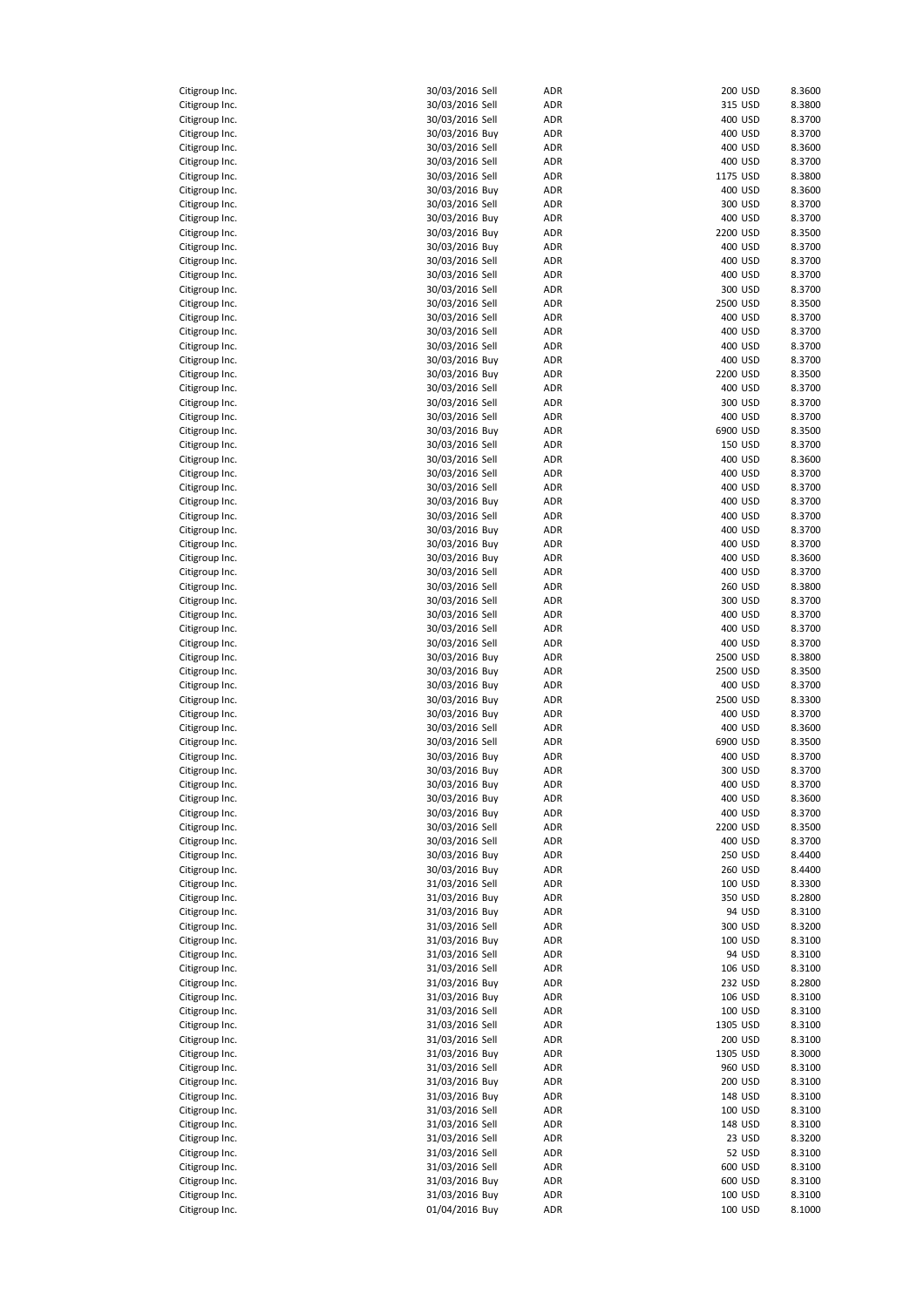| Citigroup Inc. | 30/03/2016 Sell | ADR        | 200 USD  | 8.3600 |
|----------------|-----------------|------------|----------|--------|
| Citigroup Inc. |                 | ADR        | 315 USD  | 8.3800 |
|                | 30/03/2016 Sell |            |          |        |
| Citigroup Inc. | 30/03/2016 Sell | ADR        | 400 USD  | 8.3700 |
| Citigroup Inc. | 30/03/2016 Buy  | ADR        | 400 USD  | 8.3700 |
| Citigroup Inc. | 30/03/2016 Sell | ADR        | 400 USD  | 8.3600 |
| Citigroup Inc. | 30/03/2016 Sell | ADR        | 400 USD  | 8.3700 |
| Citigroup Inc. | 30/03/2016 Sell | ADR        | 1175 USD | 8.3800 |
| Citigroup Inc. | 30/03/2016 Buy  | ADR        | 400 USD  | 8.3600 |
| Citigroup Inc. | 30/03/2016 Sell | ADR        | 300 USD  | 8.3700 |
| Citigroup Inc. | 30/03/2016 Buy  | ADR        | 400 USD  | 8.3700 |
| Citigroup Inc. | 30/03/2016 Buy  | ADR        | 2200 USD | 8.3500 |
| Citigroup Inc. | 30/03/2016 Buy  | ADR        | 400 USD  | 8.3700 |
| Citigroup Inc. | 30/03/2016 Sell | ADR        | 400 USD  | 8.3700 |
| Citigroup Inc. | 30/03/2016 Sell | ADR        | 400 USD  | 8.3700 |
| Citigroup Inc. | 30/03/2016 Sell | ADR        | 300 USD  | 8.3700 |
| Citigroup Inc. | 30/03/2016 Sell | ADR        | 2500 USD | 8.3500 |
| Citigroup Inc. | 30/03/2016 Sell | ADR        | 400 USD  | 8.3700 |
| Citigroup Inc. | 30/03/2016 Sell | ADR        | 400 USD  | 8.3700 |
| Citigroup Inc. | 30/03/2016 Sell | ADR        | 400 USD  | 8.3700 |
| Citigroup Inc. | 30/03/2016 Buy  | ADR        | 400 USD  | 8.3700 |
| Citigroup Inc. | 30/03/2016 Buy  | ADR        | 2200 USD | 8.3500 |
|                | 30/03/2016 Sell | ADR        | 400 USD  | 8.3700 |
| Citigroup Inc. |                 |            |          |        |
| Citigroup Inc. | 30/03/2016 Sell | ADR        | 300 USD  | 8.3700 |
| Citigroup Inc. | 30/03/2016 Sell | ADR        | 400 USD  | 8.3700 |
| Citigroup Inc. | 30/03/2016 Buy  | ADR        | 6900 USD | 8.3500 |
| Citigroup Inc. | 30/03/2016 Sell | ADR        | 150 USD  | 8.3700 |
| Citigroup Inc. | 30/03/2016 Sell | ADR        | 400 USD  | 8.3600 |
| Citigroup Inc. | 30/03/2016 Sell | ADR        | 400 USD  | 8.3700 |
| Citigroup Inc. | 30/03/2016 Sell | ADR        | 400 USD  | 8.3700 |
| Citigroup Inc. | 30/03/2016 Buy  | ADR        | 400 USD  | 8.3700 |
| Citigroup Inc. | 30/03/2016 Sell | ADR        | 400 USD  | 8.3700 |
| Citigroup Inc. | 30/03/2016 Buy  | <b>ADR</b> | 400 USD  | 8.3700 |
| Citigroup Inc. | 30/03/2016 Buy  | ADR        | 400 USD  | 8.3700 |
| Citigroup Inc. | 30/03/2016 Buy  | ADR        | 400 USD  | 8.3600 |
| Citigroup Inc. | 30/03/2016 Sell | ADR        | 400 USD  | 8.3700 |
| Citigroup Inc. | 30/03/2016 Sell | ADR        | 260 USD  | 8.3800 |
| Citigroup Inc. | 30/03/2016 Sell | ADR        | 300 USD  | 8.3700 |
|                |                 |            |          |        |
| Citigroup Inc. | 30/03/2016 Sell | <b>ADR</b> | 400 USD  | 8.3700 |
| Citigroup Inc. | 30/03/2016 Sell | ADR        | 400 USD  | 8.3700 |
| Citigroup Inc. | 30/03/2016 Sell | ADR        | 400 USD  | 8.3700 |
| Citigroup Inc. | 30/03/2016 Buy  | ADR        | 2500 USD | 8.3800 |
| Citigroup Inc. | 30/03/2016 Buy  | ADR        | 2500 USD | 8.3500 |
| Citigroup Inc. | 30/03/2016 Buy  | ADR        | 400 USD  | 8.3700 |
| Citigroup Inc. | 30/03/2016 Buy  | ADR        | 2500 USD | 8.3300 |
| Citigroup Inc. | 30/03/2016 Buy  | ADR        | 400 USD  | 8.3700 |
| Citigroup Inc. | 30/03/2016 Sell | ADR        | 400 USD  | 8.3600 |
| Citigroup Inc. | 30/03/2016 Sell | ADR        | 6900 USD | 8.3500 |
| Citigroup Inc. | 30/03/2016 Buy  | ADR        | 400 USD  | 8.3700 |
| Citigroup Inc. | 30/03/2016 Buy  | ADR        | 300 USD  | 8.3700 |
| Citigroup Inc. | 30/03/2016 Buy  | ADR        | 400 USD  | 8.3700 |
| Citigroup Inc. | 30/03/2016 Buy  | ADR        | 400 USD  | 8.3600 |
|                | 30/03/2016 Buy  |            |          | 8.3700 |
| Citigroup Inc. |                 | ADR        | 400 USD  |        |
| Citigroup Inc. | 30/03/2016 Sell | ADR        | 2200 USD | 8.3500 |
| Citigroup Inc. | 30/03/2016 Sell | ADR        | 400 USD  | 8.3700 |
| Citigroup Inc. | 30/03/2016 Buy  | ADR        | 250 USD  | 8.4400 |
| Citigroup Inc. | 30/03/2016 Buy  | ADR        | 260 USD  | 8.4400 |
| Citigroup Inc. | 31/03/2016 Sell | ADR        | 100 USD  | 8.3300 |
| Citigroup Inc. | 31/03/2016 Buy  | ADR        | 350 USD  | 8.2800 |
| Citigroup Inc. | 31/03/2016 Buy  | ADR        | 94 USD   | 8.3100 |
| Citigroup Inc. | 31/03/2016 Sell | ADR        | 300 USD  | 8.3200 |
| Citigroup Inc. | 31/03/2016 Buy  | ADR        | 100 USD  | 8.3100 |
| Citigroup Inc. | 31/03/2016 Sell | ADR        | 94 USD   | 8.3100 |
| Citigroup Inc. | 31/03/2016 Sell | ADR        | 106 USD  | 8.3100 |
| Citigroup Inc. | 31/03/2016 Buy  | ADR        | 232 USD  | 8.2800 |
| Citigroup Inc. | 31/03/2016 Buy  | ADR        | 106 USD  | 8.3100 |
| Citigroup Inc. | 31/03/2016 Sell |            | 100 USD  | 8.3100 |
| Citigroup Inc. | 31/03/2016 Sell | ADR<br>ADR | 1305 USD | 8.3100 |
|                |                 |            |          |        |
| Citigroup Inc. | 31/03/2016 Sell | ADR        | 200 USD  | 8.3100 |
| Citigroup Inc. | 31/03/2016 Buy  | ADR        | 1305 USD | 8.3000 |
| Citigroup Inc. | 31/03/2016 Sell | ADR        | 960 USD  | 8.3100 |
| Citigroup Inc. | 31/03/2016 Buy  | ADR        | 200 USD  | 8.3100 |
| Citigroup Inc. | 31/03/2016 Buy  | ADR        | 148 USD  | 8.3100 |
| Citigroup Inc. | 31/03/2016 Sell | ADR        | 100 USD  | 8.3100 |
| Citigroup Inc. | 31/03/2016 Sell | ADR        | 148 USD  | 8.3100 |
| Citigroup Inc. | 31/03/2016 Sell | ADR        | 23 USD   | 8.3200 |
| Citigroup Inc. | 31/03/2016 Sell | ADR        | 52 USD   | 8.3100 |
| Citigroup Inc. | 31/03/2016 Sell | ADR        | 600 USD  | 8.3100 |
| Citigroup Inc. | 31/03/2016 Buy  | ADR        | 600 USD  | 8.3100 |
| Citigroup Inc. | 31/03/2016 Buy  | ADR        | 100 USD  | 8.3100 |
| Citigroup Inc. | 01/04/2016 Buy  | ADR        | 100 USD  | 8.1000 |
|                |                 |            |          |        |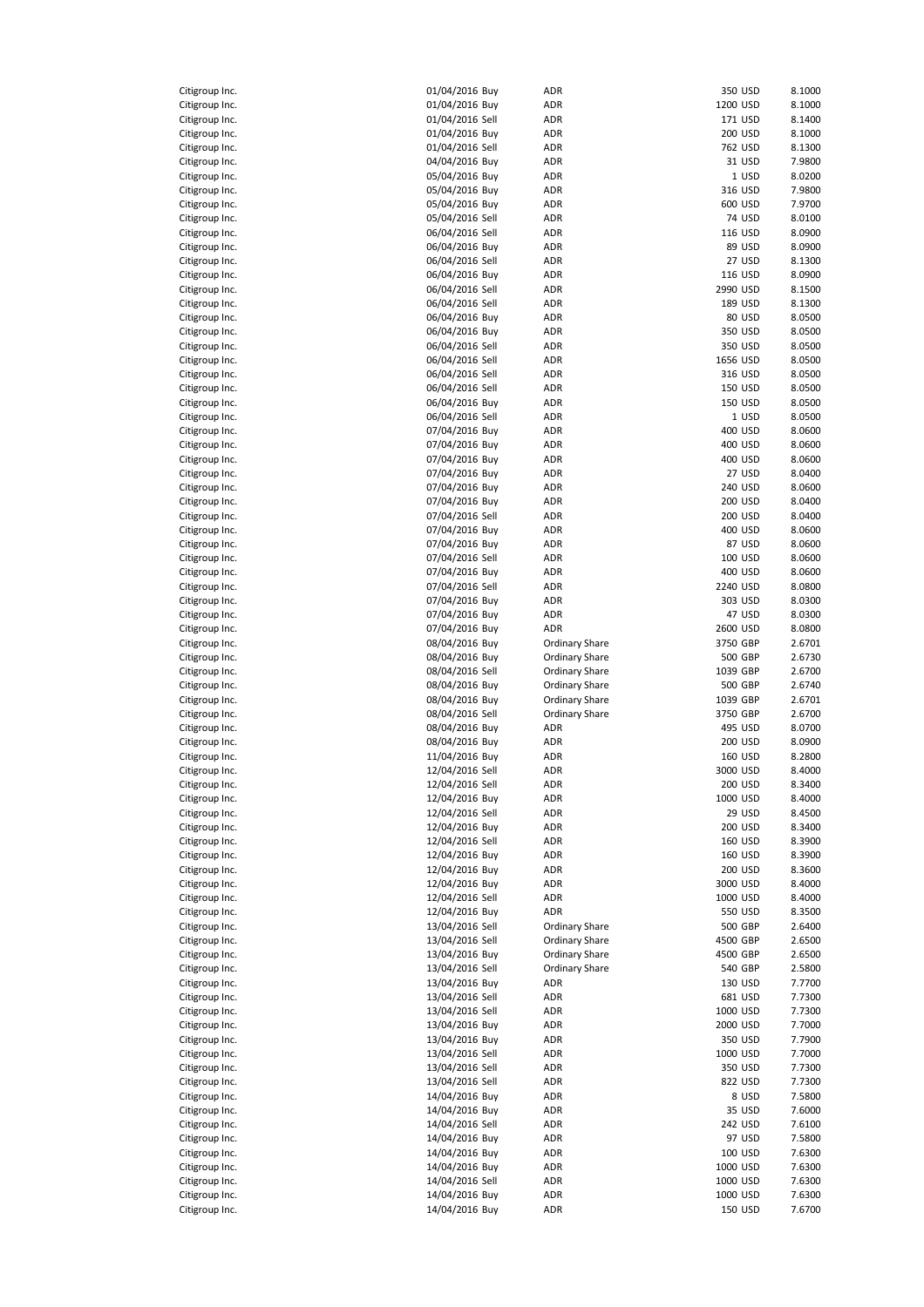| Citigroup Inc. | 01/04/2016 Buy  | ADR                   |          | 350 USD | 8.1000 |
|----------------|-----------------|-----------------------|----------|---------|--------|
| Citigroup Inc. | 01/04/2016 Buy  | ADR                   | 1200 USD |         | 8.1000 |
| Citigroup Inc. | 01/04/2016 Sell | ADR                   |          | 171 USD | 8.1400 |
| Citigroup Inc. | 01/04/2016 Buy  | ADR                   |          | 200 USD | 8.1000 |
| Citigroup Inc. | 01/04/2016 Sell | ADR                   |          | 762 USD | 8.1300 |
| Citigroup Inc. | 04/04/2016 Buy  | ADR                   |          | 31 USD  | 7.9800 |
| Citigroup Inc. | 05/04/2016 Buy  | ADR                   |          | 1 USD   | 8.0200 |
| Citigroup Inc. | 05/04/2016 Buy  | ADR                   |          | 316 USD | 7.9800 |
| Citigroup Inc. | 05/04/2016 Buy  | ADR                   |          | 600 USD | 7.9700 |
| Citigroup Inc. | 05/04/2016 Sell | ADR                   |          | 74 USD  | 8.0100 |
| Citigroup Inc. | 06/04/2016 Sell | ADR                   |          | 116 USD | 8.0900 |
| Citigroup Inc. | 06/04/2016 Buy  | ADR                   |          | 89 USD  | 8.0900 |
| Citigroup Inc. | 06/04/2016 Sell | ADR                   |          | 27 USD  | 8.1300 |
|                | 06/04/2016 Buy  |                       |          |         |        |
| Citigroup Inc. |                 | ADR                   |          | 116 USD | 8.0900 |
| Citigroup Inc. | 06/04/2016 Sell | ADR                   | 2990 USD |         | 8.1500 |
| Citigroup Inc. | 06/04/2016 Sell | ADR                   |          | 189 USD | 8.1300 |
| Citigroup Inc. | 06/04/2016 Buy  | ADR                   |          | 80 USD  | 8.0500 |
| Citigroup Inc. | 06/04/2016 Buy  | ADR                   |          | 350 USD | 8.0500 |
| Citigroup Inc. | 06/04/2016 Sell | ADR                   |          | 350 USD | 8.0500 |
| Citigroup Inc. | 06/04/2016 Sell | ADR                   | 1656 USD |         | 8.0500 |
| Citigroup Inc. | 06/04/2016 Sell | ADR                   |          | 316 USD | 8.0500 |
| Citigroup Inc. | 06/04/2016 Sell | ADR                   |          | 150 USD | 8.0500 |
| Citigroup Inc. | 06/04/2016 Buy  | ADR                   |          | 150 USD | 8.0500 |
| Citigroup Inc. | 06/04/2016 Sell | ADR                   |          | 1 USD   | 8.0500 |
| Citigroup Inc. | 07/04/2016 Buy  | ADR                   |          | 400 USD | 8.0600 |
| Citigroup Inc. | 07/04/2016 Buy  | ADR                   |          | 400 USD | 8.0600 |
| Citigroup Inc. | 07/04/2016 Buy  | ADR                   |          | 400 USD | 8.0600 |
| Citigroup Inc. | 07/04/2016 Buy  | ADR                   |          | 27 USD  | 8.0400 |
| Citigroup Inc. | 07/04/2016 Buy  | ADR                   |          | 240 USD | 8.0600 |
| Citigroup Inc. | 07/04/2016 Buy  | ADR                   |          | 200 USD | 8.0400 |
| Citigroup Inc. | 07/04/2016 Sell | ADR                   |          | 200 USD | 8.0400 |
| Citigroup Inc. | 07/04/2016 Buy  | ADR                   |          | 400 USD | 8.0600 |
| Citigroup Inc. | 07/04/2016 Buy  | ADR                   |          | 87 USD  | 8.0600 |
| Citigroup Inc. | 07/04/2016 Sell | ADR                   |          | 100 USD | 8.0600 |
|                |                 |                       |          |         |        |
| Citigroup Inc. | 07/04/2016 Buy  | ADR                   |          | 400 USD | 8.0600 |
| Citigroup Inc. | 07/04/2016 Sell | ADR                   | 2240 USD |         | 8.0800 |
| Citigroup Inc. | 07/04/2016 Buy  | ADR                   |          | 303 USD | 8.0300 |
| Citigroup Inc. | 07/04/2016 Buy  | ADR                   |          | 47 USD  | 8.0300 |
| Citigroup Inc. | 07/04/2016 Buy  | <b>ADR</b>            | 2600 USD |         | 8.0800 |
| Citigroup Inc. | 08/04/2016 Buy  | Ordinary Share        | 3750 GBP |         | 2.6701 |
| Citigroup Inc. | 08/04/2016 Buy  | Ordinary Share        |          | 500 GBP | 2.6730 |
| Citigroup Inc. | 08/04/2016 Sell | Ordinary Share        | 1039 GBP |         | 2.6700 |
| Citigroup Inc. | 08/04/2016 Buy  | <b>Ordinary Share</b> |          | 500 GBP | 2.6740 |
| Citigroup Inc. | 08/04/2016 Buy  | <b>Ordinary Share</b> | 1039 GBP |         | 2.6701 |
| Citigroup Inc. | 08/04/2016 Sell | <b>Ordinary Share</b> | 3750 GBP |         | 2.6700 |
| Citigroup Inc. | 08/04/2016 Buy  | ADR                   |          | 495 USD | 8.0700 |
| Citigroup Inc. | 08/04/2016 Buy  | ADR                   |          | 200 USD | 8.0900 |
| Citigroup Inc. | 11/04/2016 Buy  | ADR                   |          | 160 USD | 8.2800 |
| Citigroup Inc. | 12/04/2016 Sell | <b>ADR</b>            | 3000 USD |         | 8.4000 |
| Citigroup Inc. | 12/04/2016 Sell | ADR                   |          | 200 USD | 8.3400 |
| Citigroup Inc. | 12/04/2016 Buy  | ADR                   | 1000 USD |         | 8.4000 |
| Citigroup Inc. | 12/04/2016 Sell | ADR                   |          | 29 USD  | 8.4500 |
| Citigroup Inc. | 12/04/2016 Buy  | ADR                   |          | 200 USD | 8.3400 |
| Citigroup Inc. | 12/04/2016 Sell | ADR                   |          | 160 USD | 8.3900 |
| Citigroup Inc. | 12/04/2016 Buy  | ADR                   |          | 160 USD | 8.3900 |
| Citigroup Inc. | 12/04/2016 Buy  |                       |          |         | 8.3600 |
| Citigroup Inc. | 12/04/2016 Buy  | ADR<br>ADR            | 3000 USD | 200 USD | 8.4000 |
|                |                 |                       |          |         |        |
| Citigroup Inc. | 12/04/2016 Sell | ADR                   | 1000 USD |         | 8.4000 |
| Citigroup Inc. | 12/04/2016 Buy  | ADR                   |          | 550 USD | 8.3500 |
| Citigroup Inc. | 13/04/2016 Sell | <b>Ordinary Share</b> |          | 500 GBP | 2.6400 |
| Citigroup Inc. | 13/04/2016 Sell | <b>Ordinary Share</b> | 4500 GBP |         | 2.6500 |
| Citigroup Inc. | 13/04/2016 Buy  | Ordinary Share        | 4500 GBP |         | 2.6500 |
| Citigroup Inc. | 13/04/2016 Sell | <b>Ordinary Share</b> |          | 540 GBP | 2.5800 |
| Citigroup Inc. | 13/04/2016 Buy  | ADR                   |          | 130 USD | 7.7700 |
| Citigroup Inc. | 13/04/2016 Sell | ADR                   |          | 681 USD | 7.7300 |
| Citigroup Inc. | 13/04/2016 Sell | ADR                   | 1000 USD |         | 7.7300 |
| Citigroup Inc. | 13/04/2016 Buy  | ADR                   | 2000 USD |         | 7.7000 |
| Citigroup Inc. | 13/04/2016 Buy  | ADR                   |          | 350 USD | 7.7900 |
| Citigroup Inc. | 13/04/2016 Sell | ADR                   | 1000 USD |         | 7.7000 |
| Citigroup Inc. | 13/04/2016 Sell | ADR                   |          | 350 USD | 7.7300 |
| Citigroup Inc. | 13/04/2016 Sell | ADR                   |          | 822 USD | 7.7300 |
| Citigroup Inc. | 14/04/2016 Buy  | ADR                   |          | 8 USD   | 7.5800 |
| Citigroup Inc. | 14/04/2016 Buy  | ADR                   |          | 35 USD  | 7.6000 |
| Citigroup Inc. | 14/04/2016 Sell | ADR                   |          | 242 USD | 7.6100 |
| Citigroup Inc. | 14/04/2016 Buy  | ADR                   |          | 97 USD  | 7.5800 |
| Citigroup Inc. | 14/04/2016 Buy  | ADR                   |          | 100 USD | 7.6300 |
| Citigroup Inc. | 14/04/2016 Buy  | ADR                   | 1000 USD |         | 7.6300 |
| Citigroup Inc. | 14/04/2016 Sell | ADR                   | 1000 USD |         | 7.6300 |
| Citigroup Inc. | 14/04/2016 Buy  | ADR                   | 1000 USD |         | 7.6300 |
|                |                 |                       |          |         |        |
| Citigroup Inc. | 14/04/2016 Buy  | ADR                   |          | 150 USD | 7.6700 |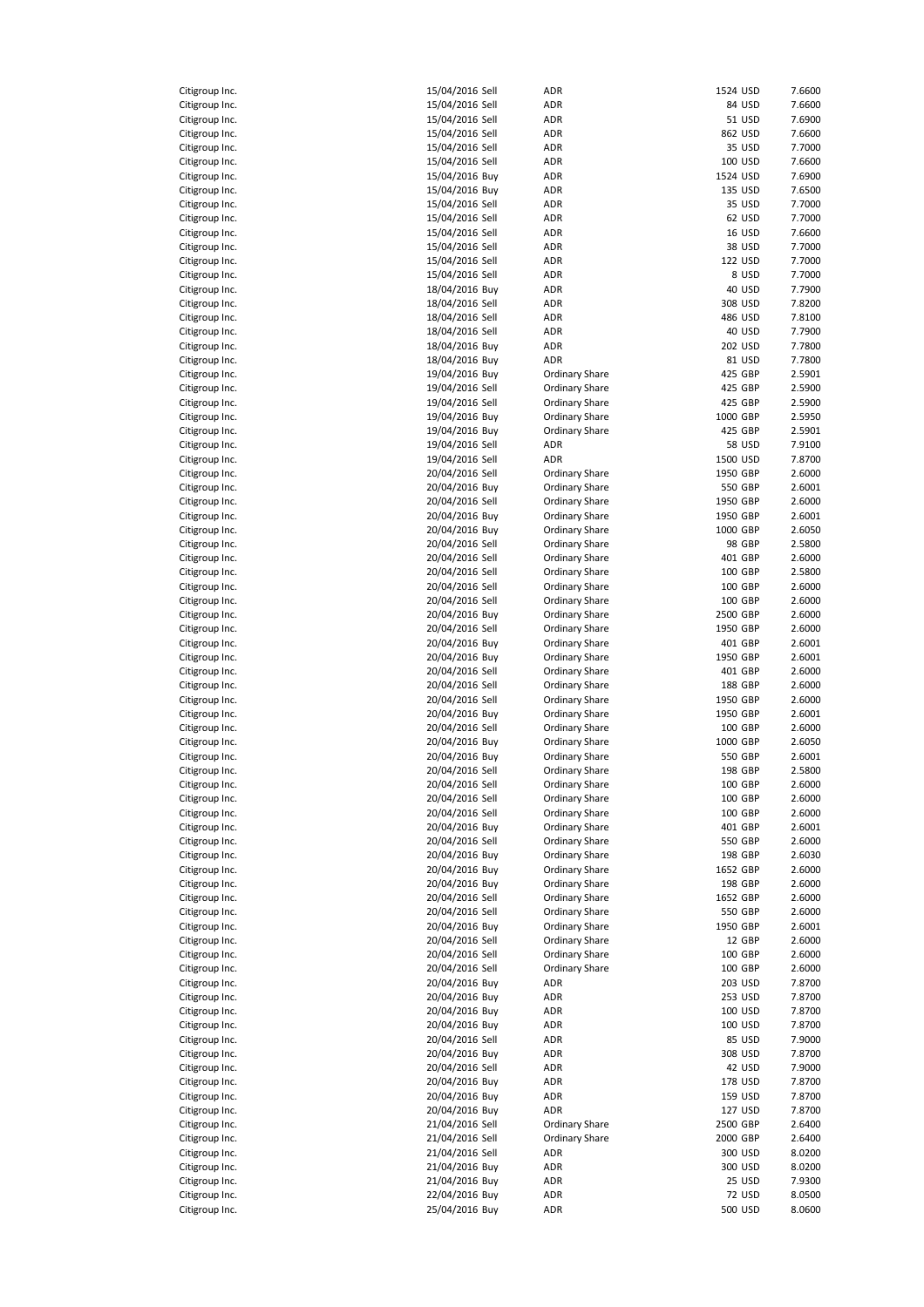| Citigroup Inc.<br>C                   |    |
|---------------------------------------|----|
| Citigroup Inc.<br>C                   |    |
| itigroup Inc.<br>C                    |    |
| itigroup Inc.<br>C                    |    |
| Citigroup Inc.                        |    |
| Citigroup Inc.<br>Citigroup Ind       |    |
| Citigroup Inc.                        | l. |
| Citigroup Inc.                        |    |
| Citigroup Inc.<br>C                   |    |
| Citigroup Inc.                        |    |
| Citigroup Inc.                        |    |
| Citigroup Inc.                        |    |
| Citigroup Inc.                        |    |
| Citigroup Inc.                        |    |
| litigroup Inc.<br>C                   |    |
| Citigroup Inc.                        |    |
| Citigroup Inc.                        |    |
| Citigroup Inc.<br>Citigroup Ind       |    |
| Citigroup Inc.                        |    |
| itigroup Inc.<br>C                    |    |
| itigroup Inc.<br>C                    |    |
| itigroup Inc.<br>C                    |    |
| Citigroup Inc.<br>C                   |    |
| Citigroup Inc.                        |    |
| Citigroup Inc.<br>C                   |    |
| itigroup Inc.<br>C                    |    |
| litigroup Inc.<br>C                   |    |
| Citigroup Inc.<br>C                   |    |
| Citigroup Inc.                        |    |
| Citigroup Ind                         | l. |
| Citigroup Inc.                        |    |
| Citigroup Inc.                        |    |
| Citigroup Inc.<br>C                   |    |
| Citigroup Inc.                        |    |
| Citigroup Inc.                        |    |
| Citigroup Inc.                        |    |
| Citigroup Inc.                        |    |
| Citigroup Inc.<br>Citigroup Inc.<br>C |    |
| Citigroup Inc.                        |    |
| Citigroup Ind                         |    |
| Citigroup Ind                         |    |
| Citigroup Ind                         |    |
| itigroup Inc.<br>C                    |    |
| itigroup Inc.<br>C                    |    |
| Citigroup Inc.                        |    |
| itigroup Inc.<br>C                    |    |
| C<br>Citigroup Inc.                   |    |
| itigroup Inc.<br>c                    |    |
| litigroup Inc.<br>O<br>Citigroup Inc. |    |
| Citigroup Inc.                        |    |
| Citigroup Inc.                        |    |
| Citigroup Inc.                        |    |
|                                       |    |
| Citigroup Inc.                        |    |
|                                       |    |
| Citigroup Inc.<br>Citigroup Inc.      |    |
| Citigroup Inc.                        |    |
| Citigroup Inc.                        |    |
| Citigroup Inc.                        |    |
| Citigroup Inc.                        |    |
| Citigroup Inc.                        |    |
| Citigroup Inc.                        |    |
| Citigroup Inc.                        |    |
| Citigroup Inc.                        |    |
| Citigroup Ind                         |    |
| Citigroup Inc.                        |    |
| Citigroup Inc.                        |    |
| C<br>Citigroup Inc.<br>C              |    |
| Citigroup Inc.                        |    |
| Citigroup Inc.<br>Citigroup Inc.      |    |
| Citigroup Inc.                        |    |
| Citigroup Inc.                        |    |
| Citigroup Inc.                        |    |
| Citigroup Inc.<br>Citigroup Inc.      |    |

| Citigroup Inc. | 15/04/2016 Sell | ADR                   | 1524 USD |               | 7.6600 |
|----------------|-----------------|-----------------------|----------|---------------|--------|
| Citigroup Inc. | 15/04/2016 Sell | ADR                   |          | 84 USD        | 7.6600 |
| Citigroup Inc. | 15/04/2016 Sell | ADR                   |          | 51 USD        | 7.6900 |
| Citigroup Inc. | 15/04/2016 Sell | ADR                   |          | 862 USD       | 7.6600 |
| Citigroup Inc. | 15/04/2016 Sell | ADR                   |          | 35 USD        | 7.7000 |
| Citigroup Inc. | 15/04/2016 Sell | ADR                   |          | 100 USD       | 7.6600 |
| Citigroup Inc. | 15/04/2016 Buy  | ADR                   |          | 1524 USD      | 7.6900 |
| Citigroup Inc. | 15/04/2016 Buy  | ADR                   |          | 135 USD       | 7.6500 |
| Citigroup Inc. | 15/04/2016 Sell | ADR                   |          | 35 USD        | 7.7000 |
| Citigroup Inc. | 15/04/2016 Sell | ADR                   |          | 62 USD        | 7.7000 |
| Citigroup Inc. | 15/04/2016 Sell | ADR                   |          | 16 USD        | 7.6600 |
| Citigroup Inc. | 15/04/2016 Sell | ADR                   |          | 38 USD        | 7.7000 |
| Citigroup Inc. | 15/04/2016 Sell | ADR                   |          | 122 USD       | 7.7000 |
| Citigroup Inc. | 15/04/2016 Sell | ADR                   |          | 8 USD         | 7.7000 |
| Citigroup Inc. | 18/04/2016 Buy  | ADR                   |          | 40 USD        | 7.7900 |
| Citigroup Inc. | 18/04/2016 Sell | ADR                   |          | 308 USD       | 7.8200 |
| Citigroup Inc. | 18/04/2016 Sell | ADR                   |          | 486 USD       | 7.8100 |
| Citigroup Inc. | 18/04/2016 Sell | ADR                   |          | 40 USD        | 7.7900 |
|                |                 | ADR                   |          |               | 7.7800 |
| Citigroup Inc. | 18/04/2016 Buy  |                       |          | 202 USD       |        |
| Citigroup Inc. | 18/04/2016 Buy  | ADR                   |          | 81 USD        | 7.7800 |
| Citigroup Inc. | 19/04/2016 Buy  | Ordinary Share        |          | 425 GBP       | 2.5901 |
| Citigroup Inc. | 19/04/2016 Sell | Ordinary Share        |          | 425 GBP       | 2.5900 |
| Citigroup Inc. | 19/04/2016 Sell | <b>Ordinary Share</b> |          | 425 GBP       | 2.5900 |
| Citigroup Inc. | 19/04/2016 Buy  | Ordinary Share        |          | 1000 GBP      | 2.5950 |
| Citigroup Inc. | 19/04/2016 Buy  | Ordinary Share        |          | 425 GBP       | 2.5901 |
| Citigroup Inc. | 19/04/2016 Sell | ADR                   |          | <b>58 USD</b> | 7.9100 |
| Citigroup Inc. | 19/04/2016 Sell | ADR                   | 1500 USD |               | 7.8700 |
| Citigroup Inc. | 20/04/2016 Sell | Ordinary Share        | 1950 GBP |               | 2.6000 |
| Citigroup Inc. | 20/04/2016 Buy  | <b>Ordinary Share</b> |          | 550 GBP       | 2.6001 |
| Citigroup Inc. | 20/04/2016 Sell | <b>Ordinary Share</b> | 1950 GBP |               | 2.6000 |
| Citigroup Inc. | 20/04/2016 Buy  | Ordinary Share        | 1950 GBP |               | 2.6001 |
| Citigroup Inc. | 20/04/2016 Buy  | <b>Ordinary Share</b> | 1000 GBP |               | 2.6050 |
| Citigroup Inc. | 20/04/2016 Sell | Ordinary Share        |          | 98 GBP        | 2.5800 |
|                |                 |                       |          |               |        |
| Citigroup Inc. | 20/04/2016 Sell | <b>Ordinary Share</b> |          | 401 GBP       | 2.6000 |
| Citigroup Inc. | 20/04/2016 Sell | <b>Ordinary Share</b> |          | 100 GBP       | 2.5800 |
| Citigroup Inc. | 20/04/2016 Sell | <b>Ordinary Share</b> |          | 100 GBP       | 2.6000 |
| Citigroup Inc. | 20/04/2016 Sell | <b>Ordinary Share</b> |          | 100 GBP       | 2.6000 |
| Citigroup Inc. | 20/04/2016 Buy  | <b>Ordinary Share</b> | 2500 GBP |               | 2.6000 |
| Citigroup Inc. | 20/04/2016 Sell | <b>Ordinary Share</b> | 1950 GBP |               | 2.6000 |
| Citigroup Inc. | 20/04/2016 Buy  | <b>Ordinary Share</b> |          | 401 GBP       | 2.6001 |
| Citigroup Inc. | 20/04/2016 Buy  | <b>Ordinary Share</b> | 1950 GBP |               | 2.6001 |
| Citigroup Inc. | 20/04/2016 Sell | <b>Ordinary Share</b> |          | 401 GBP       | 2.6000 |
| Citigroup Inc. | 20/04/2016 Sell | <b>Ordinary Share</b> |          | 188 GBP       | 2.6000 |
| Citigroup Inc. | 20/04/2016 Sell | <b>Ordinary Share</b> | 1950 GBP |               | 2.6000 |
| Citigroup Inc. | 20/04/2016 Buy  | <b>Ordinary Share</b> | 1950 GBP |               | 2.6001 |
| Citigroup Inc. | 20/04/2016 Sell | <b>Ordinary Share</b> |          | 100 GBP       | 2.6000 |
| Citigroup Inc. | 20/04/2016 Buy  | <b>Ordinary Share</b> |          | 1000 GBP      | 2.6050 |
| Citigroup Inc. | 20/04/2016 Buy  | <b>Ordinary Share</b> |          | 550 GBP       | 2.6001 |
| Citigroup Inc. | 20/04/2016 Sell | <b>Ordinary Share</b> |          | 198 GBP       | 2.5800 |
| Citigroup Inc. |                 | <b>Ordinary Share</b> |          |               | 2.6000 |
|                | 20/04/2016 Sell |                       |          | 100 GBP       |        |
| Citigroup Inc. | 20/04/2016 Sell | <b>Ordinary Share</b> |          | 100 GBP       | 2.6000 |
| Citigroup Inc. | 20/04/2016 Sell | <b>Ordinary Share</b> |          | 100 GBP       | 2.6000 |
| Citigroup Inc. | 20/04/2016 Buy  | <b>Ordinary Share</b> |          | 401 GBP       | 2.6001 |
| Citigroup Inc. | 20/04/2016 Sell | <b>Ordinary Share</b> |          | 550 GBP       | 2.6000 |
| Citigroup Inc. | 20/04/2016 Buy  | <b>Ordinary Share</b> |          | 198 GBP       | 2.6030 |
| Citigroup Inc. | 20/04/2016 Buy  | <b>Ordinary Share</b> |          | 1652 GBP      | 2.6000 |
| Citigroup Inc. | 20/04/2016 Buy  | <b>Ordinary Share</b> |          | 198 GBP       | 2.6000 |
| Citigroup Inc. | 20/04/2016 Sell | <b>Ordinary Share</b> |          | 1652 GBP      | 2.6000 |
| Citigroup Inc. | 20/04/2016 Sell | <b>Ordinary Share</b> |          | 550 GBP       | 2.6000 |
| Citigroup Inc. | 20/04/2016 Buy  | <b>Ordinary Share</b> |          | 1950 GBP      | 2.6001 |
| Citigroup Inc. | 20/04/2016 Sell | <b>Ordinary Share</b> |          | 12 GBP        | 2.6000 |
| Citigroup Inc. | 20/04/2016 Sell | <b>Ordinary Share</b> |          | 100 GBP       | 2.6000 |
| Citigroup Inc. | 20/04/2016 Sell | <b>Ordinary Share</b> |          | 100 GBP       | 2.6000 |
| Citigroup Inc. | 20/04/2016 Buy  | ADR                   |          | 203 USD       | 7.8700 |
| Citigroup Inc. | 20/04/2016 Buy  |                       |          | 253 USD       | 7.8700 |
|                |                 | ADR                   |          |               |        |
| Citigroup Inc. | 20/04/2016 Buy  | ADR                   |          | 100 USD       | 7.8700 |
| Citigroup Inc. | 20/04/2016 Buy  | ADR                   |          | 100 USD       | 7.8700 |
| Citigroup Inc. | 20/04/2016 Sell | ADR                   |          | 85 USD        | 7.9000 |
| Citigroup Inc. | 20/04/2016 Buy  | ADR                   |          | 308 USD       | 7.8700 |
| Citigroup Inc. | 20/04/2016 Sell | ADR                   |          | 42 USD        | 7.9000 |
| Citigroup Inc. | 20/04/2016 Buy  | ADR                   |          | 178 USD       | 7.8700 |
| Citigroup Inc. | 20/04/2016 Buy  | ADR                   |          | 159 USD       | 7.8700 |
| Citigroup Inc. | 20/04/2016 Buy  | ADR                   |          | 127 USD       | 7.8700 |
| Citigroup Inc. | 21/04/2016 Sell | <b>Ordinary Share</b> |          | 2500 GBP      | 2.6400 |
| Citigroup Inc. | 21/04/2016 Sell | <b>Ordinary Share</b> |          | 2000 GBP      | 2.6400 |
| Citigroup Inc. | 21/04/2016 Sell | ADR                   |          | 300 USD       | 8.0200 |
| Citigroup Inc. | 21/04/2016 Buy  | ADR                   |          | 300 USD       | 8.0200 |
| Citigroup Inc. | 21/04/2016 Buy  | ADR                   |          | 25 USD        | 7.9300 |
| Citigroup Inc. | 22/04/2016 Buy  | ADR                   |          | <b>72 USD</b> | 8.0500 |
| Citigroup Inc. | 25/04/2016 Buy  | ADR                   |          | 500 USD       | 8.0600 |
|                |                 |                       |          |               |        |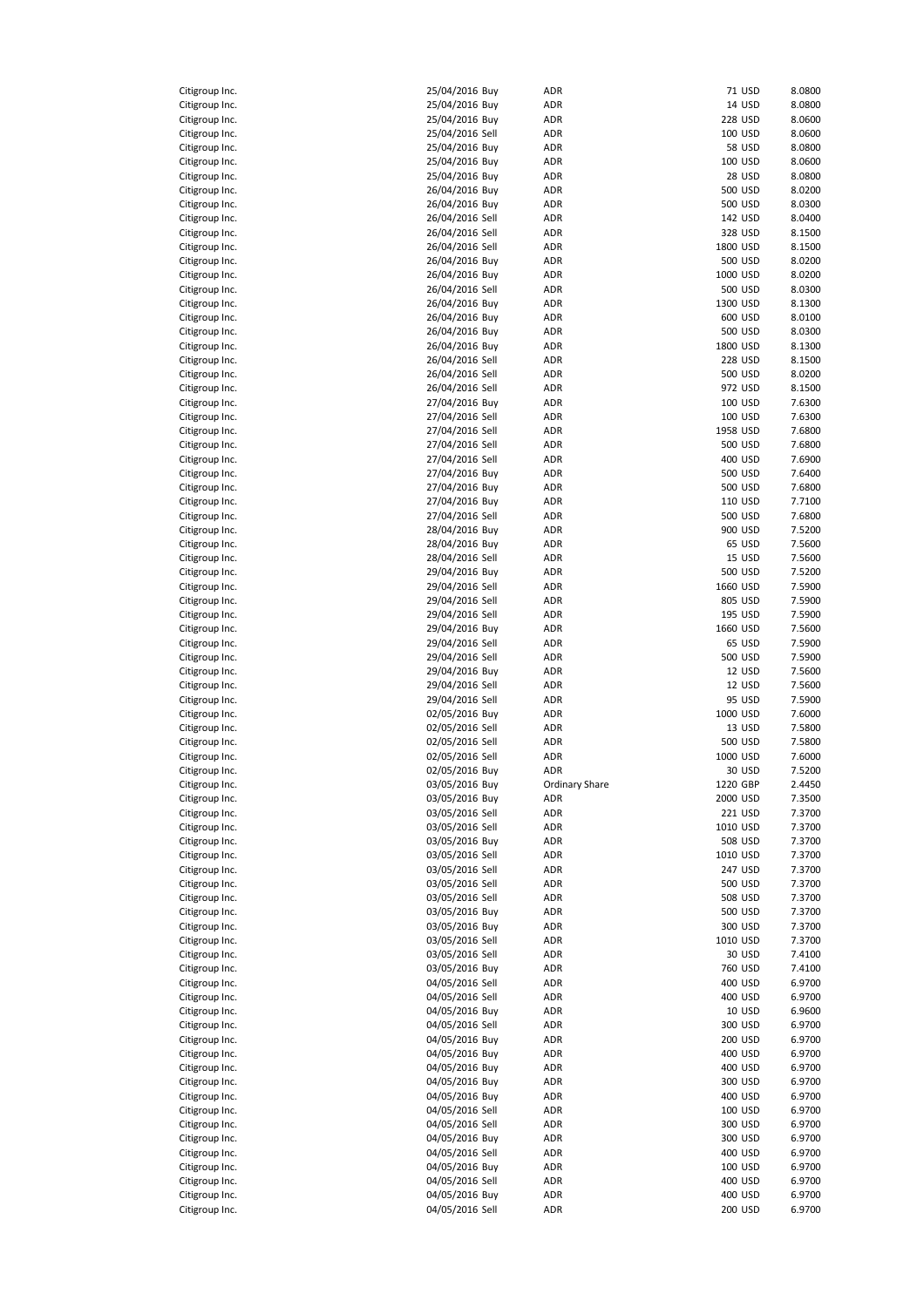| Citigroup Inc.                   | 25/04/2016 Buy                    | ADR            | 71 USD             | 8.0800           |
|----------------------------------|-----------------------------------|----------------|--------------------|------------------|
| Citigroup Inc.                   | 25/04/2016 Buy                    | ADR            | 14 USD             | 8.0800           |
| Citigroup Inc.                   | 25/04/2016 Buy                    | ADR            | 228 USD            | 8.0600           |
|                                  |                                   |                |                    |                  |
| Citigroup Inc.                   | 25/04/2016 Sell                   | ADR            | 100 USD            | 8.0600           |
| Citigroup Inc.                   | 25/04/2016 Buy                    | ADR            | <b>58 USD</b>      | 8.0800           |
| Citigroup Inc.                   | 25/04/2016 Buy                    | ADR            | 100 USD            | 8.0600           |
| Citigroup Inc.                   | 25/04/2016 Buy                    | ADR            | <b>28 USD</b>      | 8.0800           |
| Citigroup Inc.                   | 26/04/2016 Buy                    | ADR            | 500 USD            | 8.0200           |
| Citigroup Inc.                   | 26/04/2016 Buy                    | ADR            | 500 USD            | 8.0300           |
| Citigroup Inc.                   | 26/04/2016 Sell                   | ADR            | 142 USD            | 8.0400           |
| Citigroup Inc.                   | 26/04/2016 Sell                   | ADR            | 328 USD            | 8.1500           |
|                                  |                                   |                |                    |                  |
| Citigroup Inc.                   | 26/04/2016 Sell                   | ADR            | 1800 USD           | 8.1500           |
| Citigroup Inc.                   | 26/04/2016 Buy                    | ADR            | 500 USD            | 8.0200           |
| Citigroup Inc.                   | 26/04/2016 Buy                    | ADR            | 1000 USD           | 8.0200           |
| Citigroup Inc.                   | 26/04/2016 Sell                   | ADR            | 500 USD            | 8.0300           |
| Citigroup Inc.                   | 26/04/2016 Buy                    | ADR            | 1300 USD           | 8.1300           |
| Citigroup Inc.                   | 26/04/2016 Buy                    | ADR            | 600 USD            | 8.0100           |
| Citigroup Inc.                   | 26/04/2016 Buy                    | ADR            | 500 USD            | 8.0300           |
| Citigroup Inc.                   | 26/04/2016 Buy                    | ADR            | 1800 USD           | 8.1300           |
|                                  |                                   |                |                    |                  |
| Citigroup Inc.                   | 26/04/2016 Sell                   | ADR            | 228 USD            | 8.1500           |
| Citigroup Inc.                   | 26/04/2016 Sell                   | ADR            | 500 USD            | 8.0200           |
| Citigroup Inc.                   | 26/04/2016 Sell                   | ADR            | 972 USD            | 8.1500           |
| Citigroup Inc.                   | 27/04/2016 Buy                    | ADR            | 100 USD            | 7.6300           |
| Citigroup Inc.                   | 27/04/2016 Sell                   | ADR            | 100 USD            | 7.6300           |
| Citigroup Inc.                   | 27/04/2016 Sell                   | ADR            | 1958 USD           | 7.6800           |
| Citigroup Inc.                   | 27/04/2016 Sell                   | ADR            | 500 USD            | 7.6800           |
|                                  | 27/04/2016 Sell                   |                |                    |                  |
| Citigroup Inc.                   |                                   | ADR            | 400 USD            | 7.6900           |
| Citigroup Inc.                   | 27/04/2016 Buy                    | ADR            | 500 USD            | 7.6400           |
| Citigroup Inc.                   | 27/04/2016 Buy                    | ADR            | 500 USD            | 7.6800           |
| Citigroup Inc.                   | 27/04/2016 Buy                    | ADR            | 110 USD            | 7.7100           |
| Citigroup Inc.                   | 27/04/2016 Sell                   | ADR            | 500 USD            | 7.6800           |
| Citigroup Inc.                   | 28/04/2016 Buy                    | ADR            | 900 USD            | 7.5200           |
| Citigroup Inc.                   | 28/04/2016 Buy                    | ADR            | 65 USD             | 7.5600           |
| Citigroup Inc.                   | 28/04/2016 Sell                   | ADR            | 15 USD             | 7.5600           |
|                                  |                                   |                |                    |                  |
| Citigroup Inc.                   | 29/04/2016 Buy                    | ADR            | 500 USD            | 7.5200           |
| Citigroup Inc.                   | 29/04/2016 Sell                   | ADR            | 1660 USD           | 7.5900           |
| Citigroup Inc.                   | 29/04/2016 Sell                   | ADR            | 805 USD            | 7.5900           |
| Citigroup Inc.                   | 29/04/2016 Sell                   | ADR            | 195 USD            | 7.5900           |
| Citigroup Inc.                   | 29/04/2016 Buy                    | ADR            | 1660 USD           | 7.5600           |
| Citigroup Inc.                   | 29/04/2016 Sell                   | ADR            | 65 USD             | 7.5900           |
| Citigroup Inc.                   | 29/04/2016 Sell                   | ADR            | 500 USD            | 7.5900           |
| Citigroup Inc.                   | 29/04/2016 Buy                    | ADR            | 12 USD             | 7.5600           |
|                                  |                                   |                |                    |                  |
| Citigroup Inc.                   | 29/04/2016 Sell                   | ADR            | 12 USD             | 7.5600           |
| Citigroup Inc.                   | 29/04/2016 Sell                   | ADR            | 95 USD             | 7.5900           |
| Citigroup Inc.                   | 02/05/2016 Buy                    | ADR            | 1000 USD           | 7.6000           |
| Citigroup Inc.                   | 02/05/2016 Sell                   | ADR            | 13 USD             | 7.5800           |
| Citigroup Inc.                   | 02/05/2016 Sell                   | ADR            | 500 USD            | 7.5800           |
| Citigroup Inc.                   | 02/05/2016 Sell                   | ADR            | 1000 USD           | 7.6000           |
| Citigroup Inc.                   | 02/05/2016 Buy                    | ADR            | 30 USD             | 7.5200           |
| Citigroup Inc.                   | 03/05/2016 Buy                    |                | 1220 GBP           | 2.4450           |
|                                  | 03/05/2016 Buy                    | Ordinary Share |                    |                  |
| Citigroup Inc.                   |                                   | ADR            | 2000 USD           | 7.3500           |
| Citigroup Inc.                   | 03/05/2016 Sell                   | ADR            | 221 USD            | 7.3700           |
| Citigroup Inc.                   | 03/05/2016 Sell                   | ADR            | 1010 USD           | 7.3700           |
| Citigroup Inc.                   | 03/05/2016 Buy                    | ADR            | 508 USD            | 7.3700           |
| Citigroup Inc.                   | 03/05/2016 Sell                   | ADR            | 1010 USD           | 7.3700           |
| Citigroup Inc.                   | 03/05/2016 Sell                   | ADR            | 247 USD            | 7.3700           |
| Citigroup Inc.                   | 03/05/2016 Sell                   | ADR            | 500 USD            | 7.3700           |
| Citigroup Inc.                   | 03/05/2016 Sell                   | ADR            | 508 USD            | 7.3700           |
| Citigroup Inc.                   | 03/05/2016 Buy                    | ADR            | 500 USD            | 7.3700           |
|                                  |                                   |                |                    |                  |
| Citigroup Inc.                   | 03/05/2016 Buy                    | ADR            | 300 USD            | 7.3700           |
| Citigroup Inc.                   | 03/05/2016 Sell                   | ADR            | 1010 USD           | 7.3700           |
| Citigroup Inc.                   | 03/05/2016 Sell                   | ADR            | 30 USD             | 7.4100           |
| Citigroup Inc.                   | 03/05/2016 Buy                    | ADR            | 760 USD            | 7.4100           |
| Citigroup Inc.                   | 04/05/2016 Sell                   | ADR            | 400 USD            | 6.9700           |
| Citigroup Inc.                   | 04/05/2016 Sell                   | ADR            | 400 USD            | 6.9700           |
| Citigroup Inc.                   | 04/05/2016 Buy                    | ADR            | 10 USD             | 6.9600           |
| Citigroup Inc.                   | 04/05/2016 Sell                   | ADR            | 300 USD            | 6.9700           |
|                                  |                                   |                |                    |                  |
| Citigroup Inc.                   | 04/05/2016 Buy                    | ADR            | 200 USD            | 6.9700           |
| Citigroup Inc.                   | 04/05/2016 Buy                    | ADR            | 400 USD            | 6.9700           |
| Citigroup Inc.                   | 04/05/2016 Buy                    | ADR            | 400 USD            | 6.9700           |
| Citigroup Inc.                   | 04/05/2016 Buy                    | ADR            | 300 USD            | 6.9700           |
| Citigroup Inc.                   | 04/05/2016 Buy                    | ADR            | 400 USD            | 6.9700           |
| Citigroup Inc.                   | 04/05/2016 Sell                   | ADR            | 100 USD            | 6.9700           |
| Citigroup Inc.                   |                                   |                | 300 USD            | 6.9700           |
|                                  |                                   |                |                    |                  |
|                                  | 04/05/2016 Sell                   | ADR            |                    |                  |
| Citigroup Inc.                   | 04/05/2016 Buy                    | ADR            | 300 USD            | 6.9700           |
| Citigroup Inc.                   | 04/05/2016 Sell                   | ADR            | 400 USD            | 6.9700           |
| Citigroup Inc.                   | 04/05/2016 Buy                    | ADR            | 100 USD            | 6.9700           |
| Citigroup Inc.                   | 04/05/2016 Sell                   | ADR            | 400 USD            | 6.9700           |
| Citigroup Inc.<br>Citigroup Inc. | 04/05/2016 Buy<br>04/05/2016 Sell | ADR<br>ADR     | 400 USD<br>200 USD | 6.9700<br>6.9700 |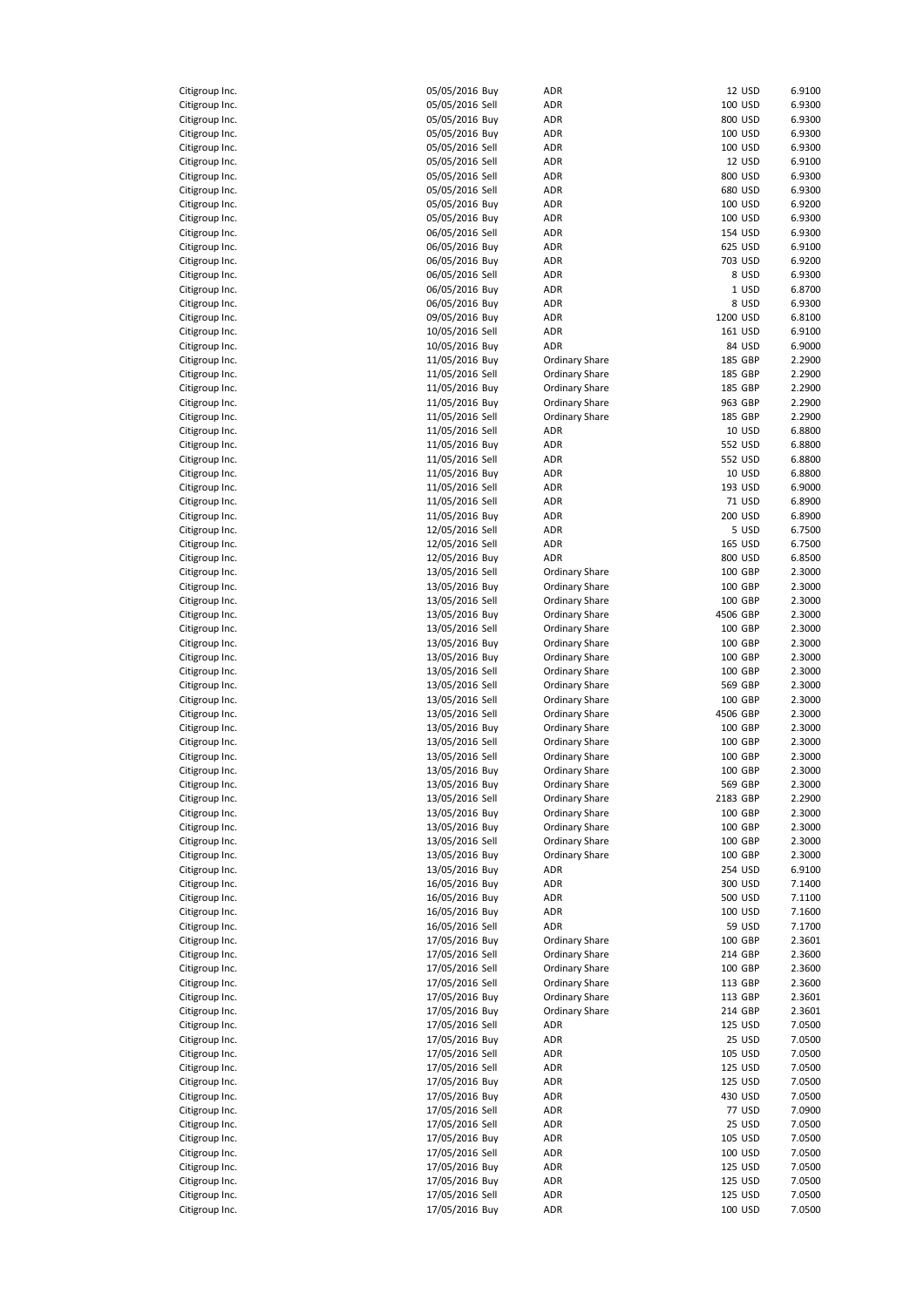| Citigroup Inc.                            |
|-------------------------------------------|
| Citigroup Inc.<br>C                       |
| Citigroup Ind<br>l.<br>Citigroup Ind      |
| Citigroup Inc<br>l.                       |
| Citigroup Inc.                            |
| Citigroup Inc.                            |
| Citigroup Inc.<br>C                       |
| Citigroup Inc.                            |
| Citigroup Inc.<br>Citigroup Inc.          |
| litigroup Inc.<br>C                       |
| Citigroup Inc.                            |
| Citigroup Inc.                            |
| Citigroup Inc.                            |
| Citigroup Ind<br>Citigroup Inc.           |
| Citigroup Ind                             |
| Citigroup Inc.                            |
| Citigroup Inc.<br>C                       |
| $\mathsf{C}$<br>Citigroup Inc.            |
| Citigroup Inc.<br>Citigroup Inc.<br>C     |
| Citigroup Inc.                            |
| itigroup Inc.<br>C                        |
| Citigroup Inc.<br>$\mathbf{\mathfrak{c}}$ |
| Citigroup Inc.                            |
| Citigroup Inc<br>l.                       |
| Citigroup Ind<br>l.                       |
| Citigroup Inc.<br>Citigroup Inc.          |
| Citigroup Inc.                            |
| Citigroup Inc.<br>C                       |
| Citigroup Inc.                            |
| Citigroup Inc.                            |
| Citigroup Inc.<br>litigroup Inc.<br>C     |
| Citigroup Inc.                            |
| Citigroup Inc.                            |
| Citigroup Inc.                            |
| Citigroup Ind                             |
| Citigroup Inc.                            |
| Citigroup Inc.<br>C<br>C<br>itigroup Inc. |
| itigroup Inc.<br>C                        |
| Citigroup Inc.<br>C                       |
| Citigroup Inc.                            |
| Citigroup Inc.                            |
| itigroup Inc.<br>C                        |
| Citigroup Inc.<br>Citigroup Inc.          |
| Citigroup Inc.                            |
| Citigroup Ind<br>l.                       |
| Citigroup Inc.                            |
| Citigroup Inc.<br>Citigroup Inc.          |
|                                           |
|                                           |
| Citigroup Inc.                            |
| Citigroup Inc.<br>Citigroup Inc.          |
| Citigroup Inc.                            |
| Citigroup Inc.                            |
| Citigroup Inc.                            |
| Citigroup Inc.                            |
| Citigroup Ind<br>l.                       |
| Citigroup Inc.<br>Citigroup Inc<br>l.     |
| Citigroup Inc.                            |
| Citigroup Inc.                            |
| Citigroup Inc.                            |
| Citigroup Inc.                            |
| Citigroup Inc.<br>Citigroup Inc.          |
| Citigroup Inc.                            |
| Citigroup Inc.                            |
| Citigroup Inc.                            |
| Citigroup Inc.                            |
| Citigroup Inc.<br>Citigroup Ind<br>l.     |

| Citigroup Inc. | 05/05/2016 Buy  | ADR                   |          | 12 USD        | 6.9100 |
|----------------|-----------------|-----------------------|----------|---------------|--------|
| Citigroup Inc. | 05/05/2016 Sell | ADR                   |          | 100 USD       | 6.9300 |
| Citigroup Inc. | 05/05/2016 Buy  | ADR                   |          | 800 USD       | 6.9300 |
| Citigroup Inc. | 05/05/2016 Buy  | ADR                   |          | 100 USD       | 6.9300 |
| Citigroup Inc. | 05/05/2016 Sell | ADR                   |          | 100 USD       | 6.9300 |
| Citigroup Inc. | 05/05/2016 Sell | ADR                   |          | 12 USD        | 6.9100 |
| Citigroup Inc. | 05/05/2016 Sell | ADR                   |          | 800 USD       | 6.9300 |
| Citigroup Inc. | 05/05/2016 Sell | ADR                   |          | 680 USD       | 6.9300 |
|                |                 | ADR                   |          |               | 6.9200 |
| Citigroup Inc. | 05/05/2016 Buy  |                       |          | 100 USD       |        |
| Citigroup Inc. | 05/05/2016 Buy  | ADR                   |          | 100 USD       | 6.9300 |
| Citigroup Inc. | 06/05/2016 Sell | ADR                   |          | 154 USD       | 6.9300 |
| Citigroup Inc. | 06/05/2016 Buy  | ADR                   |          | 625 USD       | 6.9100 |
| Citigroup Inc. | 06/05/2016 Buy  | ADR                   |          | 703 USD       | 6.9200 |
| Citigroup Inc. | 06/05/2016 Sell | ADR                   |          | 8 USD         | 6.9300 |
| Citigroup Inc. | 06/05/2016 Buy  | ADR                   |          | 1 USD         | 6.8700 |
| Citigroup Inc. | 06/05/2016 Buy  | ADR                   |          | 8 USD         | 6.9300 |
| Citigroup Inc. | 09/05/2016 Buy  | ADR                   | 1200 USD |               | 6.8100 |
| Citigroup Inc. | 10/05/2016 Sell | ADR                   |          | 161 USD       | 6.9100 |
| Citigroup Inc. | 10/05/2016 Buy  | ADR                   |          | 84 USD        | 6.9000 |
| Citigroup Inc. | 11/05/2016 Buy  | <b>Ordinary Share</b> |          | 185 GBP       | 2.2900 |
| Citigroup Inc. | 11/05/2016 Sell | <b>Ordinary Share</b> |          | 185 GBP       | 2.2900 |
| Citigroup Inc. | 11/05/2016 Buy  | <b>Ordinary Share</b> |          | 185 GBP       | 2.2900 |
| Citigroup Inc. | 11/05/2016 Buy  | <b>Ordinary Share</b> |          | 963 GBP       | 2.2900 |
| Citigroup Inc. | 11/05/2016 Sell | <b>Ordinary Share</b> |          | 185 GBP       | 2.2900 |
| Citigroup Inc. | 11/05/2016 Sell | ADR                   |          | <b>10 USD</b> | 6.8800 |
| Citigroup Inc. | 11/05/2016 Buy  | ADR                   |          | 552 USD       | 6.8800 |
|                |                 |                       |          |               |        |
| Citigroup Inc. | 11/05/2016 Sell | ADR                   |          | 552 USD       | 6.8800 |
| Citigroup Inc. | 11/05/2016 Buy  | ADR                   |          | 10 USD        | 6.8800 |
| Citigroup Inc. | 11/05/2016 Sell | ADR                   |          | 193 USD       | 6.9000 |
| Citigroup Inc. | 11/05/2016 Sell | ADR                   |          | 71 USD        | 6.8900 |
| Citigroup Inc. | 11/05/2016 Buy  | ADR                   |          | 200 USD       | 6.8900 |
| Citigroup Inc. | 12/05/2016 Sell | ADR                   |          | 5 USD         | 6.7500 |
| Citigroup Inc. | 12/05/2016 Sell | ADR                   |          | 165 USD       | 6.7500 |
| Citigroup Inc. | 12/05/2016 Buy  | ADR                   |          | 800 USD       | 6.8500 |
| Citigroup Inc. | 13/05/2016 Sell | <b>Ordinary Share</b> |          | 100 GBP       | 2.3000 |
| Citigroup Inc. | 13/05/2016 Buy  | <b>Ordinary Share</b> |          | 100 GBP       | 2.3000 |
| Citigroup Inc. | 13/05/2016 Sell | <b>Ordinary Share</b> |          | 100 GBP       | 2.3000 |
| Citigroup Inc. | 13/05/2016 Buy  | <b>Ordinary Share</b> | 4506 GBP |               | 2.3000 |
| Citigroup Inc. | 13/05/2016 Sell | Ordinary Share        |          | 100 GBP       | 2.3000 |
| Citigroup Inc. | 13/05/2016 Buy  | Ordinary Share        |          | 100 GBP       | 2.3000 |
|                |                 | <b>Ordinary Share</b> |          | 100 GBP       | 2.3000 |
| Citigroup Inc. | 13/05/2016 Buy  |                       |          |               |        |
| Citigroup Inc. | 13/05/2016 Sell | Ordinary Share        |          | 100 GBP       | 2.3000 |
| Citigroup Inc. | 13/05/2016 Sell | Ordinary Share        |          | 569 GBP       | 2.3000 |
| Citigroup Inc. | 13/05/2016 Sell | <b>Ordinary Share</b> |          | 100 GBP       | 2.3000 |
| Citigroup Inc. | 13/05/2016 Sell | Ordinary Share        | 4506 GBP |               | 2.3000 |
| Citigroup Inc. | 13/05/2016 Buy  | Ordinary Share        |          | 100 GBP       | 2.3000 |
| Citigroup Inc. | 13/05/2016 Sell | Ordinary Share        |          | 100 GBP       | 2.3000 |
| Citigroup Inc. | 13/05/2016 Sell | <b>Ordinary Share</b> |          | 100 GBP       | 2.3000 |
| Citigroup Inc. | 13/05/2016 Buy  | Ordinary Share        |          | 100 GBP       | 2.3000 |
| Citigroup Inc. | 13/05/2016 Buy  | Ordinary Share        |          | 569 GBP       | 2.3000 |
| Citigroup Inc. | 13/05/2016 Sell | <b>Ordinary Share</b> | 2183 GBP |               | 2.2900 |
| Citigroup Inc. | 13/05/2016 Buy  | <b>Ordinary Share</b> |          | 100 GBP       | 2.3000 |
| Citigroup Inc. | 13/05/2016 Buy  | <b>Ordinary Share</b> |          | 100 GBP       | 2.3000 |
| Citigroup Inc. | 13/05/2016 Sell | <b>Ordinary Share</b> |          | 100 GBP       | 2.3000 |
| Citigroup Inc. | 13/05/2016 Buy  | <b>Ordinary Share</b> |          | 100 GBP       | 2.3000 |
| Citigroup Inc. | 13/05/2016 Buy  |                       |          |               | 6.9100 |
|                |                 | ADR                   |          | 254 USD       |        |
| Citigroup Inc. | 16/05/2016 Buy  | ADR                   |          | 300 USD       | 7.1400 |
| Citigroup Inc. | 16/05/2016 Buy  | ADR                   |          | 500 USD       | 7.1100 |
| Citigroup Inc. | 16/05/2016 Buy  | ADR                   |          | 100 USD       | 7.1600 |
| Citigroup Inc. | 16/05/2016 Sell | ADR                   |          | 59 USD        | 7.1700 |
| Citigroup Inc. | 17/05/2016 Buy  | Ordinary Share        |          | 100 GBP       | 2.3601 |
| Citigroup Inc. | 17/05/2016 Sell | <b>Ordinary Share</b> |          | 214 GBP       | 2.3600 |
| Citigroup Inc. | 17/05/2016 Sell | <b>Ordinary Share</b> |          | 100 GBP       | 2.3600 |
| Citigroup Inc. | 17/05/2016 Sell | <b>Ordinary Share</b> |          | 113 GBP       | 2.3600 |
| Citigroup Inc. | 17/05/2016 Buy  | <b>Ordinary Share</b> |          | 113 GBP       | 2.3601 |
| Citigroup Inc. | 17/05/2016 Buy  | <b>Ordinary Share</b> |          | 214 GBP       | 2.3601 |
| Citigroup Inc. | 17/05/2016 Sell | ADR                   |          | 125 USD       | 7.0500 |
| Citigroup Inc. | 17/05/2016 Buy  | ADR                   |          | 25 USD        | 7.0500 |
| Citigroup Inc. | 17/05/2016 Sell | ADR                   |          | 105 USD       | 7.0500 |
| Citigroup Inc. | 17/05/2016 Sell | ADR                   |          | 125 USD       | 7.0500 |
| Citigroup Inc. | 17/05/2016 Buy  | ADR                   |          | 125 USD       | 7.0500 |
|                |                 |                       |          |               |        |
| Citigroup Inc. | 17/05/2016 Buy  | ADR                   |          | 430 USD       | 7.0500 |
| Citigroup Inc. | 17/05/2016 Sell | ADR                   |          | <b>77 USD</b> | 7.0900 |
| Citigroup Inc. | 17/05/2016 Sell | ADR                   |          | 25 USD        | 7.0500 |
| Citigroup Inc. | 17/05/2016 Buy  | ADR                   |          | 105 USD       | 7.0500 |
| Citigroup Inc. | 17/05/2016 Sell | ADR                   |          | 100 USD       | 7.0500 |
| Citigroup Inc. | 17/05/2016 Buy  | ADR                   |          | 125 USD       | 7.0500 |
| Citigroup Inc. | 17/05/2016 Buy  | ADR                   |          | 125 USD       | 7.0500 |
| Citigroup Inc. | 17/05/2016 Sell | ADR                   |          | 125 USD       | 7.0500 |
| Citigroup Inc. | 17/05/2016 Buy  | ADR                   |          | 100 USD       | 7.0500 |
|                |                 |                       |          |               |        |